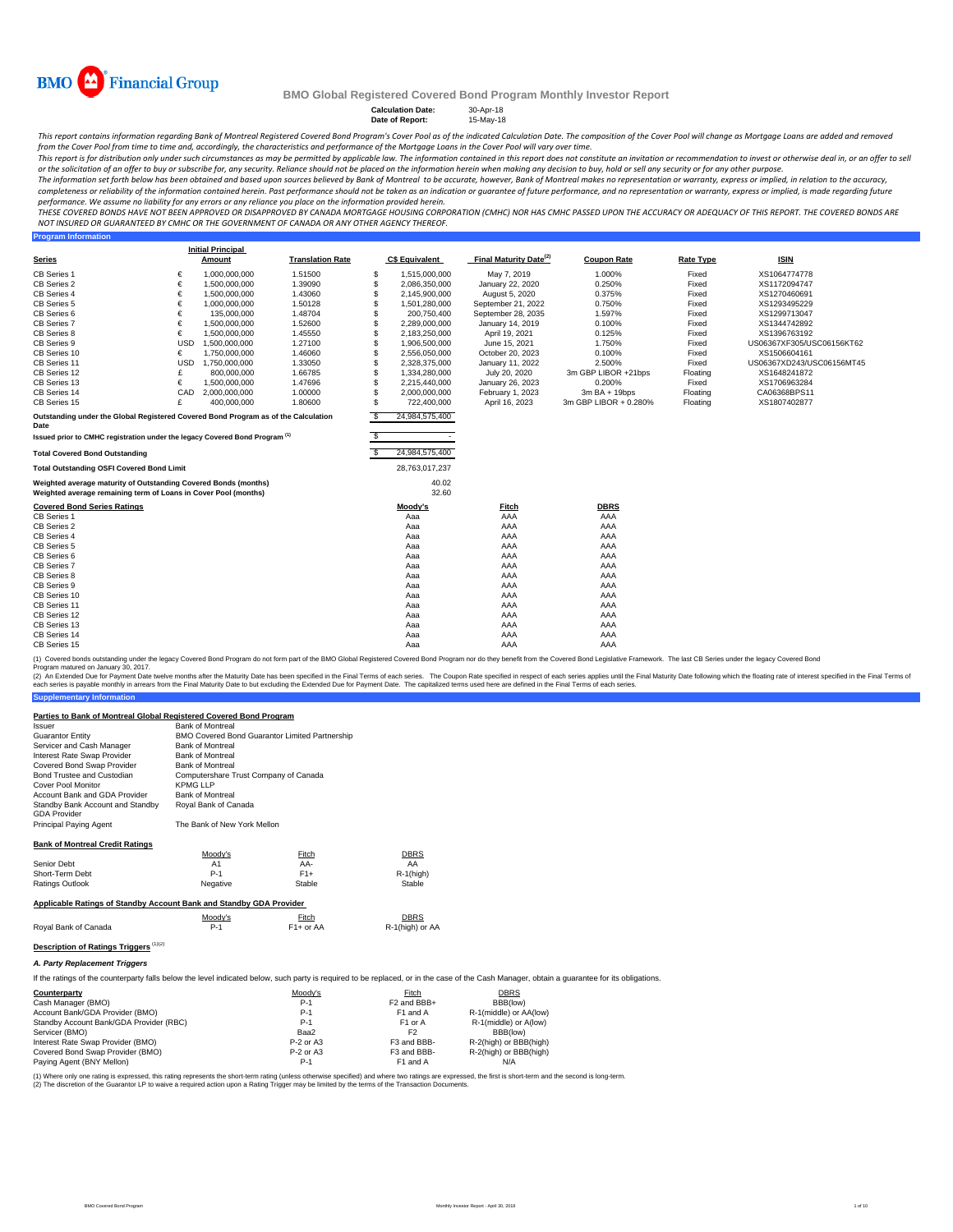

**Program Information**

#### **BMO Global Registered Covered Bond Program Monthly Investor Report**

**Calculation Date:** 30-Apr-18 **Date of Report:** 15-May-18

This report contains information regarding Bank of Montreal Registered Covered Bond Program's Cover Pool as of the indicated Calculation Date. The composition of the Cover Pool will change as Mortgage Loans are added and r from the Cover Pool from time to time and, accordingly, the characteristics and performance of the Mortgage Loans in the Cover Pool will vary over time.

This report is for distribution only under such circumstances as may be permitted by applicable law. The information contained in this report does not constitute an invitation or recommendation to invest or otherwise deal

The information set forth below has been obtained and based upon sources believed by Bank of Montreal to be accurate, however, Bank of Montreal makes no representation or warranty, express or implied, in relation to the ac completeness or reliability of the information contained herein. Past performance should not be taken as an indication or guarantee of future performance, and no representation or warranty, express or implied, is made rega performance. We assume no liability for any errors or any reliance you place on the information provided herein.

THESE COVERED BONDS HAVE NOT BEEN APPROVED OR DISAPPROVED BY CANADA MORTGAGE HOUSING CORPORATION (CMHC) NOR HAS CMHC PASSED UPON THE ACCURACY OR ADEQUACY OF THIS REPORT. THE COVERED BONDS ARE<br>NOT INSURED OR GUARANTEED BY C

|                                                                                                                                    |            | <b>Initial Principal</b> |                         |     |                       |                                    |                       |                  |                           |
|------------------------------------------------------------------------------------------------------------------------------------|------------|--------------------------|-------------------------|-----|-----------------------|------------------------------------|-----------------------|------------------|---------------------------|
| <b>Series</b>                                                                                                                      |            | Amount                   | <b>Translation Rate</b> |     | <b>C\$ Equivalent</b> | Final Maturity Date <sup>(2)</sup> | <b>Coupon Rate</b>    | <b>Rate Type</b> | <b>ISIN</b>               |
| CB Series 1                                                                                                                        | €          | 1,000,000,000            | 1.51500                 | S   | 1.515.000.000         | May 7, 2019                        | 1.000%                | Fixed            | XS1064774778              |
| CB Series 2                                                                                                                        | €          | 1,500,000,000            | 1.39090                 | S   | 2,086,350,000         | January 22, 2020                   | 0.250%                | Fixed            | XS1172094747              |
| CB Series 4                                                                                                                        | €          | 1,500,000,000            | 1.43060                 | S   | 2,145,900,000         | August 5, 2020                     | 0.375%                | Fixed            | XS1270460691              |
| CB Series 5                                                                                                                        | €          | 1,000,000,000            | 1.50128                 |     | 1,501,280,000         | September 21, 2022                 | 0.750%                | Fixed            | XS1293495229              |
| CB Series 6                                                                                                                        | €          | 135,000,000              | 1.48704                 |     | 200.750.400           | September 28, 2035                 | 1.597%                | Fixed            | XS1299713047              |
| CB Series 7                                                                                                                        | €          | 1,500,000,000            | 1.52600                 | S   | 2,289,000,000         | January 14, 2019                   | 0.100%                | Fixed            | XS1344742892              |
| CB Series 8                                                                                                                        | €          | 1,500,000,000            | 1.45550                 | S   | 2,183,250,000         | April 19, 2021                     | 0.125%                | Fixed            | XS1396763192              |
| CB Series 9                                                                                                                        | <b>USD</b> | 1,500,000,000            | 1.27100                 | S   | 1,906,500,000         | June 15, 2021                      | 1.750%                | Fixed            | US06367XF305/USC06156KT62 |
| CB Series 10                                                                                                                       | €          | 1,750,000,000            | 1.46060                 | S   | 2,556,050,000         | October 20, 2023                   | 0.100%                | Fixed            | XS1506604161              |
| CB Series 11                                                                                                                       | <b>USD</b> | 1.750.000.000            | 1.33050                 | S   | 2,328,375,000         | January 11, 2022                   | 2.500%                | Fixed            | US06367XD243/USC06156MT45 |
| CB Series 12                                                                                                                       | £          | 800,000,000              | 1.66785                 |     | 1,334,280,000         | July 20, 2020                      | 3m GBP LIBOR +21bps   | Floating         | XS1648241872              |
| CB Series 13                                                                                                                       | €          | 1.500.000.000            | 1.47696                 |     | 2,215,440,000         | January 26, 2023                   | 0.200%                | Fixed            | XS1706963284              |
| CB Series 14                                                                                                                       | CAD        | 2,000,000,000            | 1.00000                 | S   | 2,000,000,000         | February 1, 2023                   | $3mBA + 19bps$        | Floating         | CA06368BPS11              |
| CB Series 15                                                                                                                       | £          | 400,000,000              | 1.80600                 | S   | 722,400,000           | April 16, 2023                     | 3m GBP LIBOR + 0.280% | Floating         | XS1807402877              |
| Outstanding under the Global Registered Covered Bond Program as of the Calculation<br>Date                                         |            |                          |                         | S   | 24,984,575,400        |                                    |                       |                  |                           |
| Issued prior to CMHC registration under the legacy Covered Bond Program <sup>(1)</sup>                                             |            |                          |                         | s   |                       |                                    |                       |                  |                           |
| <b>Total Covered Bond Outstanding</b>                                                                                              |            |                          |                         | \$. | 24,984,575,400        |                                    |                       |                  |                           |
| <b>Total Outstanding OSFI Covered Bond Limit</b>                                                                                   |            |                          |                         |     | 28,763,017,237        |                                    |                       |                  |                           |
| Weighted average maturity of Outstanding Covered Bonds (months)<br>Weighted average remaining term of Loans in Cover Pool (months) |            |                          |                         |     | 40.02<br>32.60        |                                    |                       |                  |                           |
| <b>Covered Bond Series Ratings</b>                                                                                                 |            |                          |                         |     | Moody's               | <b>Fitch</b><br>AAA                | <b>DBRS</b><br>AAA    |                  |                           |
| CB Series 1                                                                                                                        |            |                          |                         |     | Aaa                   |                                    |                       |                  |                           |
| CB Series 2                                                                                                                        |            |                          |                         |     | Aaa                   | AAA                                | AAA                   |                  |                           |
| CB Series 4                                                                                                                        |            |                          |                         |     | Aaa                   | AAA                                | AAA                   |                  |                           |
| CB Series 5                                                                                                                        |            |                          |                         |     | Aaa                   | AAA                                | AAA                   |                  |                           |
| CB Series 6                                                                                                                        |            |                          |                         |     | Aaa                   | AAA                                | AAA<br>AAA            |                  |                           |
| CB Series 7                                                                                                                        |            |                          |                         |     | Aaa                   | AAA                                |                       |                  |                           |
| CB Series 8                                                                                                                        |            |                          |                         |     | Aaa                   | AAA                                | AAA                   |                  |                           |
| CB Series 9                                                                                                                        |            |                          |                         |     | Aaa                   | AAA                                | AAA                   |                  |                           |
| CB Series 10                                                                                                                       |            |                          |                         |     | Aaa                   | AAA                                | AAA                   |                  |                           |
| CB Series 11                                                                                                                       |            |                          |                         |     | Aaa                   | AAA                                | AAA                   |                  |                           |
| CB Series 12                                                                                                                       |            |                          |                         |     | Aaa                   | AAA                                | AAA                   |                  |                           |
| CB Series 13                                                                                                                       |            |                          |                         |     | Aaa                   | AAA                                | AAA                   |                  |                           |
| CB Series 14                                                                                                                       |            |                          |                         |     | Aaa                   | AAA                                | AAA                   |                  |                           |
| CB Series 15                                                                                                                       |            |                          |                         |     | Aaa                   | AAA                                | AAA                   |                  |                           |

(1) Covered bonds outstanding under the legacy Covered Bond Program do not form part of the BMO Global Registered Covered Bond Program nor do they benefit from the Covered Bond Legislative Framework. The last CB Series und param matured on January 30, 2017.

**Supplementary Information** (2) An Extended Due for Payment Date twelve months after the Maturity Date has been specified in the Final Terms of each series. The Coupon Rate specified in the Final Maturity Date to but excluding the Extended Due for Pa

## **Parties to Bank of Montreal Global Registered Covered Bond Program**

| Parties to Bank of Montreal Global Registered Covered Bond Program                                                                                                                           |                                       |                                                       |                         |                        |  |
|----------------------------------------------------------------------------------------------------------------------------------------------------------------------------------------------|---------------------------------------|-------------------------------------------------------|-------------------------|------------------------|--|
| Issuer                                                                                                                                                                                       | <b>Bank of Montreal</b>               |                                                       |                         |                        |  |
| <b>Guarantor Entity</b>                                                                                                                                                                      |                                       | <b>BMO Covered Bond Guarantor Limited Partnership</b> |                         |                        |  |
| Servicer and Cash Manager                                                                                                                                                                    | <b>Bank of Montreal</b>               |                                                       |                         |                        |  |
| Interest Rate Swap Provider                                                                                                                                                                  | <b>Bank of Montreal</b>               |                                                       |                         |                        |  |
| Covered Bond Swap Provider                                                                                                                                                                   | <b>Bank of Montreal</b>               |                                                       |                         |                        |  |
| Bond Trustee and Custodian                                                                                                                                                                   | Computershare Trust Company of Canada |                                                       |                         |                        |  |
| Cover Pool Monitor                                                                                                                                                                           | <b>KPMG LLP</b>                       |                                                       |                         |                        |  |
| Account Bank and GDA Provider                                                                                                                                                                | <b>Bank of Montreal</b>               |                                                       |                         |                        |  |
| Standby Bank Account and Standby                                                                                                                                                             | Roval Bank of Canada                  |                                                       |                         |                        |  |
| <b>GDA Provider</b>                                                                                                                                                                          |                                       |                                                       |                         |                        |  |
| Principal Paying Agent                                                                                                                                                                       | The Bank of New York Mellon           |                                                       |                         |                        |  |
|                                                                                                                                                                                              |                                       |                                                       |                         |                        |  |
| <b>Bank of Montreal Credit Ratings</b>                                                                                                                                                       |                                       |                                                       |                         |                        |  |
| Senior Debt                                                                                                                                                                                  | Moody's<br>A1                         | Fitch<br>AA-                                          | <b>DBRS</b><br>AA       |                        |  |
| Short-Term Debt                                                                                                                                                                              | $P-1$                                 | $F1+$                                                 | $R-1$ (high)            |                        |  |
| Ratings Outlook                                                                                                                                                                              |                                       | Stable                                                | Stable                  |                        |  |
|                                                                                                                                                                                              | Negative                              |                                                       |                         |                        |  |
| Applicable Ratings of Standby Account Bank and Standby GDA Provider                                                                                                                          |                                       |                                                       |                         |                        |  |
|                                                                                                                                                                                              | Moody's                               | Fitch                                                 | <b>DBRS</b>             |                        |  |
| Royal Bank of Canada                                                                                                                                                                         | $P-1$                                 | $F1+$ or AA                                           | R-1(high) or AA         |                        |  |
|                                                                                                                                                                                              |                                       |                                                       |                         |                        |  |
| Description of Ratings Triggers (1)(2)                                                                                                                                                       |                                       |                                                       |                         |                        |  |
| A. Party Replacement Triggers                                                                                                                                                                |                                       |                                                       |                         |                        |  |
| If the ratings of the counterparty falls below the level indicated below, such party is required to be replaced, or in the case of the Cash Manager, obtain a quarantee for its obligations. |                                       |                                                       |                         |                        |  |
| Counterparty                                                                                                                                                                                 |                                       | Moody's                                               | Fitch                   | <b>DBRS</b>            |  |
| Cash Manager (BMO)                                                                                                                                                                           |                                       | $P-1$                                                 | F <sub>2</sub> and BBB+ | BBB(low)               |  |
| Account Bank/GDA Provider (BMO)                                                                                                                                                              |                                       | $P-1$                                                 | F1 and A                | R-1(middle) or AA(low) |  |
| Standby Account Bank/GDA Provider (RBC)                                                                                                                                                      |                                       | $P-1$                                                 | F1 or A                 | R-1(middle) or A(low)  |  |
|                                                                                                                                                                                              |                                       |                                                       |                         |                        |  |

| $P-1$       | F <sub>2</sub> and BBB+ | BBB(low)               |  |
|-------------|-------------------------|------------------------|--|
| P-1         | F1 and A                | R-1(middle) or AA(low) |  |
| P-1         | F1 or A                 | R-1(middle) or A(low)  |  |
| Baa2        | F <sub>2</sub>          | BBB(low)               |  |
| $P-2$ or A3 | F3 and BBB-             | R-2(high) or BBB(high) |  |
| $P-2$ or A3 | F3 and BBB-             | R-2(high) or BBB(high) |  |
| P-1         | F1 and A                | N/A                    |  |
|             |                         |                        |  |

(1) Where only one rating is expressed, this rating represents the short-term rating (unless otherwise specified) and where two ratings are expressed, the first is short-term and the second is long-term. (2) The discretion of the Guarantor LP to waive a required action upon a Rating Trigger may be limited by the terms of the Transaction Documents.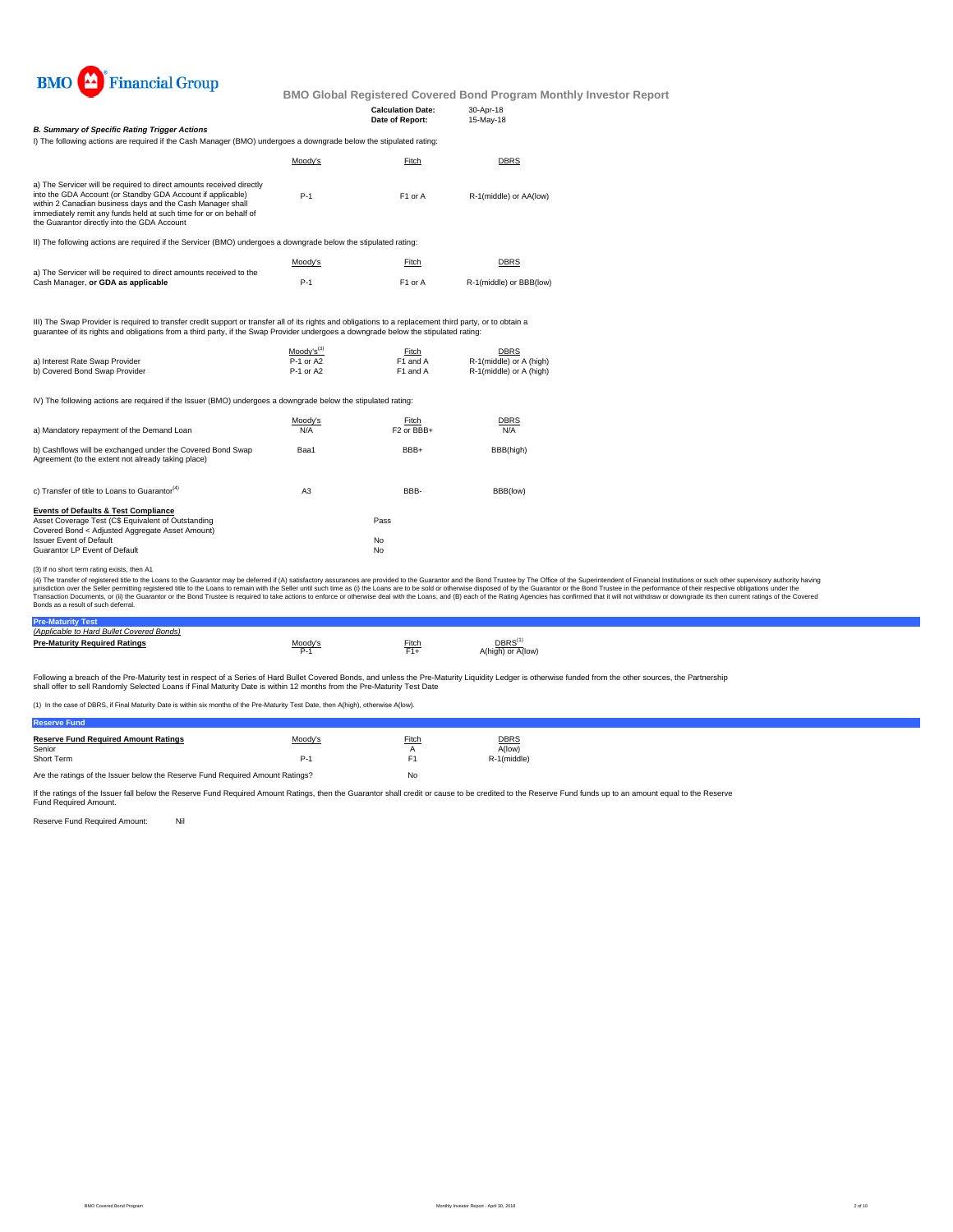

|                                                                                                                                                                                                                                                                                                                                     |                        | <b>Calculation Date:</b>        | 30-Apr-18                                          |                                                                                                                                                                                                                                                                                                                                                                                                                                                                  |
|-------------------------------------------------------------------------------------------------------------------------------------------------------------------------------------------------------------------------------------------------------------------------------------------------------------------------------------|------------------------|---------------------------------|----------------------------------------------------|------------------------------------------------------------------------------------------------------------------------------------------------------------------------------------------------------------------------------------------------------------------------------------------------------------------------------------------------------------------------------------------------------------------------------------------------------------------|
| <b>B. Summary of Specific Rating Trigger Actions</b>                                                                                                                                                                                                                                                                                |                        | Date of Report:                 | 15-May-18                                          |                                                                                                                                                                                                                                                                                                                                                                                                                                                                  |
| I) The following actions are required if the Cash Manager (BMO) undergoes a downgrade below the stipulated rating:                                                                                                                                                                                                                  |                        |                                 |                                                    |                                                                                                                                                                                                                                                                                                                                                                                                                                                                  |
|                                                                                                                                                                                                                                                                                                                                     | Moody's                | Fitch                           | <b>DBRS</b>                                        |                                                                                                                                                                                                                                                                                                                                                                                                                                                                  |
| a) The Servicer will be required to direct amounts received directly<br>into the GDA Account (or Standby GDA Account if applicable)<br>within 2 Canadian business days and the Cash Manager shall<br>immediately remit any funds held at such time for or on behalf of<br>the Guarantor directly into the GDA Account               | $P-1$                  | F1 or A                         | R-1(middle) or AA(low)                             |                                                                                                                                                                                                                                                                                                                                                                                                                                                                  |
| II) The following actions are required if the Servicer (BMO) undergoes a downgrade below the stipulated rating:                                                                                                                                                                                                                     |                        |                                 |                                                    |                                                                                                                                                                                                                                                                                                                                                                                                                                                                  |
|                                                                                                                                                                                                                                                                                                                                     | Moody's                | Fitch                           | <b>DBRS</b>                                        |                                                                                                                                                                                                                                                                                                                                                                                                                                                                  |
| a) The Servicer will be required to direct amounts received to the<br>Cash Manager, or GDA as applicable                                                                                                                                                                                                                            | $P-1$                  | F1 or A                         | R-1(middle) or BBB(low)                            |                                                                                                                                                                                                                                                                                                                                                                                                                                                                  |
| III) The Swap Provider is required to transfer credit support or transfer all of its rights and obligations to a replacement third party, or to obtain a<br>guarantee of its rights and obligations from a third party, if the Swap Provider undergoes a downgrade below the stipulated rating:                                     |                        |                                 |                                                    |                                                                                                                                                                                                                                                                                                                                                                                                                                                                  |
|                                                                                                                                                                                                                                                                                                                                     | $Mody's^{(3)}$         | Fitch                           | <b>DBRS</b>                                        |                                                                                                                                                                                                                                                                                                                                                                                                                                                                  |
| a) Interest Rate Swap Provider<br>b) Covered Bond Swap Provider                                                                                                                                                                                                                                                                     | P-1 or A2<br>P-1 or A2 | F1 and A<br>F1 and A            | R-1(middle) or A (high)<br>R-1(middle) or A (high) |                                                                                                                                                                                                                                                                                                                                                                                                                                                                  |
| IV) The following actions are required if the Issuer (BMO) undergoes a downgrade below the stipulated rating:                                                                                                                                                                                                                       |                        |                                 |                                                    |                                                                                                                                                                                                                                                                                                                                                                                                                                                                  |
| a) Mandatory repayment of the Demand Loan                                                                                                                                                                                                                                                                                           | Moody's<br>N/A         | Fitch<br>F <sub>2</sub> or BBB+ | <b>DBRS</b><br>N/A                                 |                                                                                                                                                                                                                                                                                                                                                                                                                                                                  |
| b) Cashflows will be exchanged under the Covered Bond Swap<br>Agreement (to the extent not already taking place)                                                                                                                                                                                                                    | Baa1                   | BBB+                            | BBB(high)                                          |                                                                                                                                                                                                                                                                                                                                                                                                                                                                  |
| c) Transfer of title to Loans to Guarantor <sup>(4)</sup>                                                                                                                                                                                                                                                                           | A <sub>3</sub>         | BBB-                            | BBB(low)                                           |                                                                                                                                                                                                                                                                                                                                                                                                                                                                  |
| <b>Events of Defaults &amp; Test Compliance</b><br>Asset Coverage Test (C\$ Equivalent of Outstanding<br>Covered Bond < Adjusted Aggregate Asset Amount)                                                                                                                                                                            |                        | Pass                            |                                                    |                                                                                                                                                                                                                                                                                                                                                                                                                                                                  |
| <b>Issuer Event of Default</b><br>Guarantor LP Event of Default                                                                                                                                                                                                                                                                     |                        | No<br>No                        |                                                    |                                                                                                                                                                                                                                                                                                                                                                                                                                                                  |
| (3) If no short term rating exists, then A1<br>jurisdiction over the Seller permitting registered title to the Loans to remain with the Seller until such time as (i) the Loans are to be sold or otherwise disposed of by the Guarantor or the Bond Trustee in the performan<br>Bonds as a result of such deferral.                |                        |                                 |                                                    | (4) The transfer of registered title to the Loans to the Guarantor may be deferred if (A) satisfactory assurances are provided to the Guarantor and the Bond Trustee by The Office of the Superintendent of Financial Institut<br>Transaction Documents, or (ii) the Guarantor or the Bond Trustee is required to take actions to enforce or otherwise deal with the Loans, and (B) each of the Rating Agencies has confirmed that it will not withdraw or downg |
| <b>Pre-Maturity Test</b>                                                                                                                                                                                                                                                                                                            |                        |                                 |                                                    |                                                                                                                                                                                                                                                                                                                                                                                                                                                                  |
| (Applicable to Hard Bullet Covered Bonds)<br><b>Pre-Maturity Required Ratings</b>                                                                                                                                                                                                                                                   | Moody's<br>$P-1$       | Fitch<br>$F1+$                  | DBRS <sup>(1)</sup><br>A(high) or A(low)           |                                                                                                                                                                                                                                                                                                                                                                                                                                                                  |
| Following a breach of the Pre-Maturity test in respect of a Series of Hard Bullet Covered Bonds, and unless the Pre-Maturity Liquidity Ledger is otherwise funded from the other sources, the Partnership<br>shall offer to sell Randomly Selected Loans if Final Maturity Date is within 12 months from the Pre-Maturity Test Date |                        |                                 |                                                    |                                                                                                                                                                                                                                                                                                                                                                                                                                                                  |
| (1) In the case of DBRS, if Final Maturity Date is within six months of the Pre-Maturity Test Date, then A(high), otherwise A(low).                                                                                                                                                                                                 |                        |                                 |                                                    |                                                                                                                                                                                                                                                                                                                                                                                                                                                                  |

Are the ratings of the Issuer below the Reserve Fund Required Amount Ratings? No

If the ratings of the Issuer fall below the Reserve Fund Required Amount Ratings, then the Guarantor shall credit or cause to be credited to the Reserve Fund funds up to an amount equal to the Reserve Fund Required Amount.

Reserve Fund Required Amount: Nil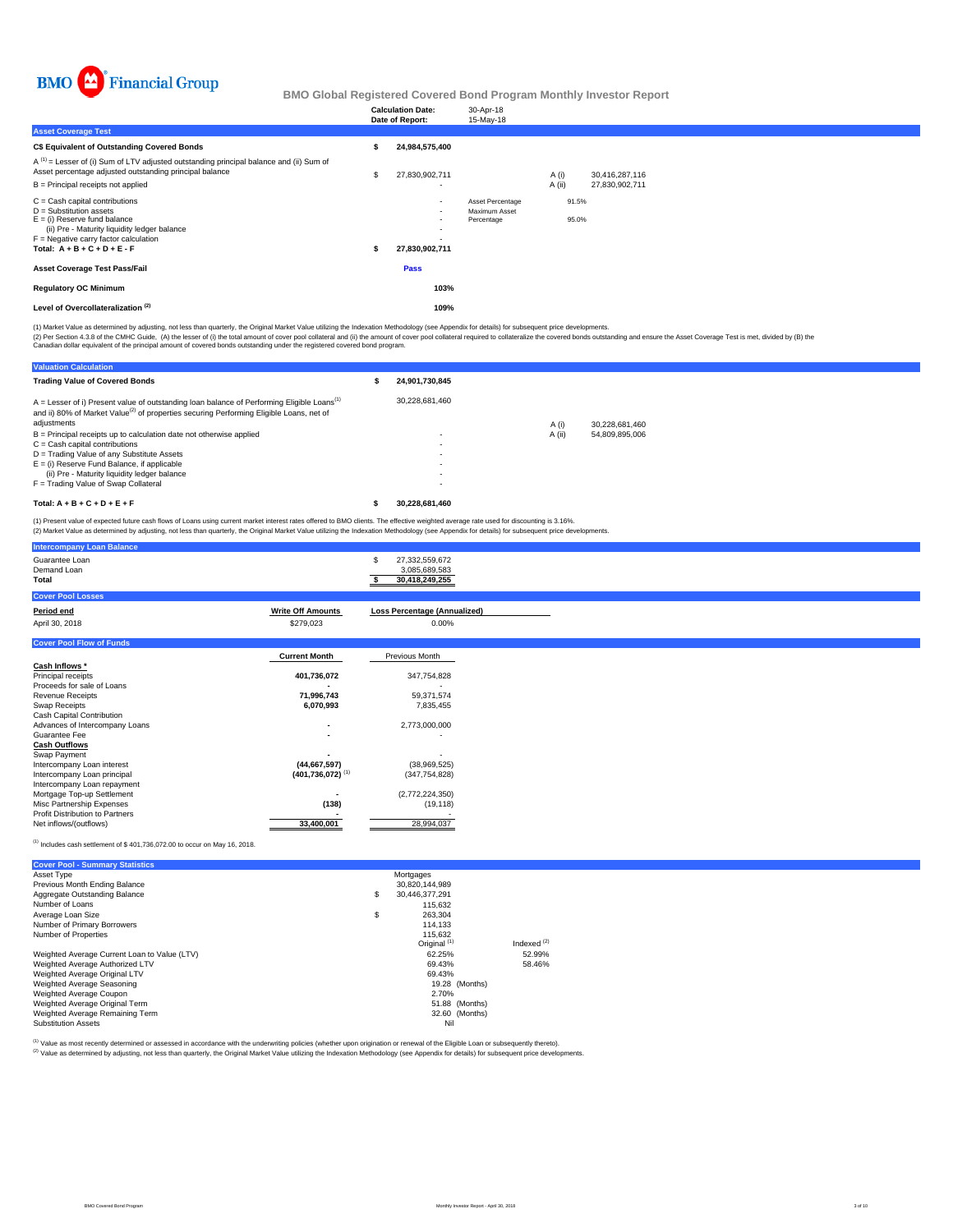

|                                                                                                                                                                                                                              | <b>Calculation Date:</b><br>Date of Report: | 30-Apr-18<br>15-May-18                          |        |                |                |  |  |
|------------------------------------------------------------------------------------------------------------------------------------------------------------------------------------------------------------------------------|---------------------------------------------|-------------------------------------------------|--------|----------------|----------------|--|--|
| <b>Asset Coverage Test</b>                                                                                                                                                                                                   |                                             |                                                 |        |                |                |  |  |
| C\$ Equivalent of Outstanding Covered Bonds                                                                                                                                                                                  | 24,984,575,400                              |                                                 |        |                |                |  |  |
| $A^{(1)}$ = Lesser of (i) Sum of LTV adjusted outstanding principal balance and (ii) Sum of<br>Asset percentage adjusted outstanding principal balance                                                                       | 27,830,902,711                              |                                                 | A (i)  |                | 30,416,287,116 |  |  |
| B = Principal receipts not applied                                                                                                                                                                                           | ٠                                           |                                                 | A (ii) |                | 27,830,902,711 |  |  |
| $C =$ Cash capital contributions<br>$D =$ Substitution assets<br>$E =$ (i) Reserve fund balance<br>(ii) Pre - Maturity liquidity ledger balance<br>$F = Neqative$ carry factor calculation<br>Total: $A + B + C + D + E - F$ | $\sim$<br>$\sim$<br>27,830,902,711          | Asset Percentage<br>Maximum Asset<br>Percentage |        | 91.5%<br>95.0% |                |  |  |
| <b>Asset Coverage Test Pass/Fail</b>                                                                                                                                                                                         | Pass                                        |                                                 |        |                |                |  |  |
| <b>Regulatory OC Minimum</b>                                                                                                                                                                                                 | 103%                                        |                                                 |        |                |                |  |  |
| Level of Overcollateralization <sup>(2)</sup>                                                                                                                                                                                | 109%                                        |                                                 |        |                |                |  |  |

(1) Market Value as determined by adjusting, not less than quarterly, the Original Market Value utilizing the Indexation Methodology (see Appendix for details) for subsequent price developments.

(2) Per Section 4.3.8 of the CMHC Guide, (A) the lesser of (i) the total amount of cover pool collateral and (ii) the amount of cover pool collateral required to collateralize the covered bonds outstanding and ensure the A

| <b>Valuation Calculation</b>                                                                                                                                                                                                   |                |        |                |  |
|--------------------------------------------------------------------------------------------------------------------------------------------------------------------------------------------------------------------------------|----------------|--------|----------------|--|
| <b>Trading Value of Covered Bonds</b>                                                                                                                                                                                          | 24.901.730.845 |        |                |  |
| $A =$ Lesser of i) Present value of outstanding loan balance of Performing Eligible Loans <sup>(1)</sup><br>and ii) 80% of Market Value <sup>(2)</sup> of properties securing Performing Eligible Loans, net of<br>adjustments | 30.228.681.460 | A (i)  | 30.228.681.460 |  |
| $B =$ Principal receipts up to calculation date not otherwise applied                                                                                                                                                          |                | A (ii) | 54,809,895,006 |  |
| $C =$ Cash capital contributions                                                                                                                                                                                               |                |        |                |  |
| D = Trading Value of any Substitute Assets                                                                                                                                                                                     |                |        |                |  |
| $E =$ (i) Reserve Fund Balance, if applicable                                                                                                                                                                                  |                |        |                |  |
| (ii) Pre - Maturity liquidity ledger balance                                                                                                                                                                                   |                |        |                |  |
| F = Trading Value of Swap Collateral                                                                                                                                                                                           |                |        |                |  |
| Total: $A + B + C + D + E + F$                                                                                                                                                                                                 | 30.228.681.460 |        |                |  |

(1) Present value of expected future cash flows of Loans using current market interest rates offered to BMO clients. The effective weighted average rate used for discounting is 3.16%.<br>(2) Market Value as determined by adju

| <b>Intercompany Loan Balance</b>              |                                  |                                                        |
|-----------------------------------------------|----------------------------------|--------------------------------------------------------|
| Guarantee Loan<br>Demand Loan<br><b>Total</b> |                                  | 27,332,559,672<br>s<br>3,085,689,583<br>30,418,249,255 |
| <b>Cover Pool Losses</b>                      |                                  |                                                        |
| Period end                                    | <b>Write Off Amounts</b>         | <b>Loss Percentage (Annualized)</b>                    |
| April 30, 2018                                | \$279,023                        | $0.00\%$                                               |
| <b>Cover Pool Flow of Funds</b>               |                                  |                                                        |
|                                               | <b>Current Month</b>             | Previous Month                                         |
| Cash Inflows *                                |                                  |                                                        |
| Principal receipts                            | 401,736,072                      | 347,754,828                                            |
| Proceeds for sale of Loans                    |                                  |                                                        |
| <b>Revenue Receipts</b>                       | 71,996,743                       | 59,371,574                                             |
| Swap Receipts                                 | 6,070,993                        | 7,835,455                                              |
| Cash Capital Contribution                     |                                  |                                                        |
| Advances of Intercompany Loans                |                                  | 2,773,000,000                                          |
| Guarantee Fee                                 |                                  | ٠                                                      |
| <b>Cash Outflows</b>                          |                                  |                                                        |
| Swap Payment                                  |                                  |                                                        |
| Intercompany Loan interest                    | (44, 667, 597)                   | (38,969,525)                                           |
| Intercompany Loan principal                   | $(401, 736, 072)$ <sup>(1)</sup> | (347, 754, 828)                                        |
| Intercompany Loan repayment                   |                                  |                                                        |
| Mortgage Top-up Settlement                    |                                  | (2,772,224,350)                                        |
| Misc Partnership Expenses                     | (138)                            | (19, 118)                                              |
| Profit Distribution to Partners               |                                  |                                                        |
| Net inflows/(outflows)                        | 33,400,001                       | 28,994,037                                             |

### $<sup>(1)</sup>$  Includes cash settlement of \$401,736,072.00 to occur on May 16, 2018.</sup>

| <b>Cover Pool - Summary Statistics</b>       |                         |                |  |
|----------------------------------------------|-------------------------|----------------|--|
| Asset Type                                   | Mortgages               |                |  |
| Previous Month Ending Balance                | 30.820.144.989          |                |  |
| Aggregate Outstanding Balance                | \$<br>30.446.377.291    |                |  |
| Number of Loans                              | 115.632                 |                |  |
| Average Loan Size                            | \$<br>263.304           |                |  |
| Number of Primary Borrowers                  | 114.133                 |                |  |
| Number of Properties                         | 115.632                 |                |  |
|                                              | Original <sup>(1)</sup> | Indexed $(2)$  |  |
| Weighted Average Current Loan to Value (LTV) | 62.25%                  | 52.99%         |  |
| Weighted Average Authorized LTV              | 69.43%                  | 58.46%         |  |
| Weighted Average Original LTV                | 69.43%                  |                |  |
| Weighted Average Seasoning                   |                         | 19.28 (Months) |  |
| Weighted Average Coupon                      | 2.70%                   |                |  |
| Weighted Average Original Term               |                         | 51.88 (Months) |  |
| Weighted Average Remaining Term              |                         | 32.60 (Months) |  |
| <b>Substitution Assets</b>                   | Nil                     |                |  |

(1) Value as most recently determined or assessed in accordance with the underwriting policies (whether upon origination or renewal of the Eligible Loan or subsequently thereto).

Value as incorrection documents of documents in the children as the children of the United States of the Indexation Methodology (see Appendix for details) for subsequent price developments.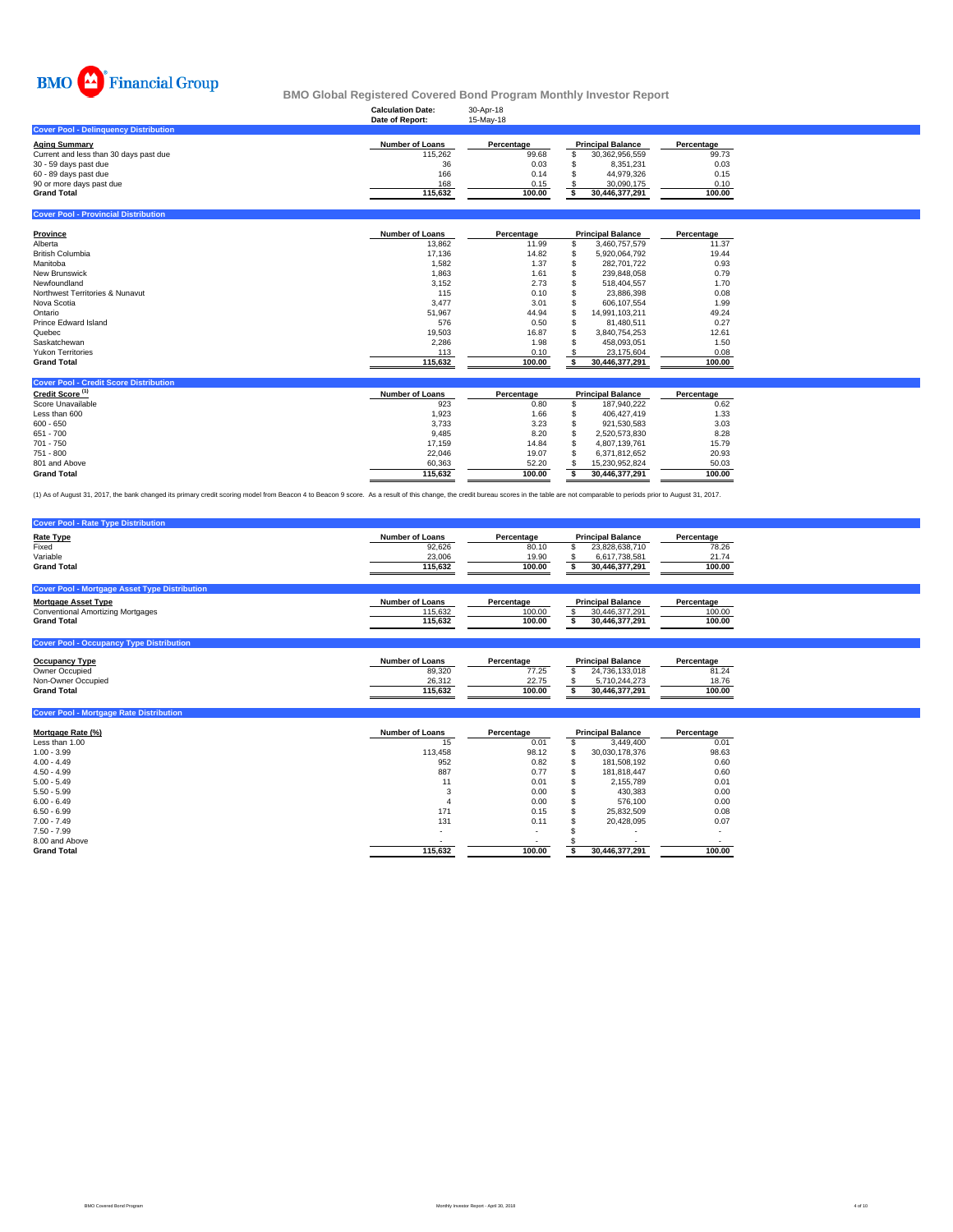

## **Calculation Date:** 30-Apr-18 **BMO Global Registered Covered Bond Program Monthly Investor Report**

|                                              | Date of Report: | 15-May-18  |                          |            |
|----------------------------------------------|-----------------|------------|--------------------------|------------|
| <b>Cover Pool - Delinguency Distribution</b> |                 |            |                          |            |
| Aging Summarv                                | Number of Loans | Percentage | <b>Principal Balance</b> | Percentage |
| Current and less than 30 days past due       | 115.262         | 99.68      | 30.362.956.559           | 99.73      |
| 30 - 59 days past due                        | 36              | 0.03       | 8.351.231                | 0.03       |
| 60 - 89 days past due                        | 166             | 0.14       | 44.979.326               | 0.15       |
| 90 or more days past due                     | 168             | 0.15       | 30.090.175               | 0.10       |
| <b>Grand Total</b>                           | 115.632         | 100.00     | 30.446.377.291           | 100.00     |
|                                              |                 |            |                          |            |

**Cover Pool - Provincial Distribution**

| Province                        | Number of Loans | Percentage | <b>Principal Balance</b> |                | Percentage |
|---------------------------------|-----------------|------------|--------------------------|----------------|------------|
| Alberta                         | 13,862          | 11.99      | \$.                      | 3.460.757.579  | 11.37      |
| <b>British Columbia</b>         | 17.136          | 14.82      | ъ                        | 5.920.064.792  | 19.44      |
| Manitoba                        | 1,582           | 1.37       |                          | 282.701.722    | 0.93       |
| <b>New Brunswick</b>            | 1,863           | 1.61       |                          | 239.848.058    | 0.79       |
| Newfoundland                    | 3,152           | 2.73       |                          | 518.404.557    | 1.70       |
| Northwest Territories & Nunavut | 115             | 0.10       |                          | 23.886.398     | 0.08       |
| Nova Scotia                     | 3.477           | 3.01       |                          | 606.107.554    | 1.99       |
| Ontario                         | 51.967          | 44.94      |                          | 14.991.103.211 | 49.24      |
| Prince Edward Island            | 576             | 0.50       |                          | 81.480.511     | 0.27       |
| Quebec                          | 19,503          | 16.87      |                          | 3.840.754.253  | 12.61      |
| Saskatchewan                    | 2,286           | 1.98       |                          | 458.093.051    | 1.50       |
| <b>Yukon Territories</b>        | 113             | 0.10       |                          | 23.175.604     | 0.08       |
| <b>Grand Total</b>              | 115,632         | 100.00     |                          | 30,446,377,291 | 100.00     |

| <b>Cover Pool - Credit Score Distribution</b> |                        |            |                          |                |            |
|-----------------------------------------------|------------------------|------------|--------------------------|----------------|------------|
| Credit Score <sup>(1)</sup>                   | <b>Number of Loans</b> | Percentage | <b>Principal Balance</b> |                | Percentage |
| Score Unavailable                             | 923                    | 0.80       |                          | 187.940.222    | 0.62       |
| Less than 600                                 | 1.923                  | 1.66       |                          | 406.427.419    | 1.33       |
| $600 - 650$                                   | 3.733                  | 3.23       |                          | 921.530.583    | 3.03       |
| $651 - 700$                                   | 9.485                  | 8.20       |                          | 2.520.573.830  | 8.28       |
| 701 - 750                                     | 17.159                 | 14.84      |                          | 4.807.139.761  | 15.79      |
| 751 - 800                                     | 22.046                 | 19.07      |                          | 6.371.812.652  | 20.93      |
| 801 and Above                                 | 60.363                 | 52.20      |                          | 15.230.952.824 | 50.03      |
| <b>Grand Total</b>                            | 115.632                | 100.00     |                          | 30.446.377.291 | 100.00     |

(1) As of August 31, 2017, the bank changed its primary credit scoring model from Beacon 4 to Beacon 9 score. As a result of this change, the credit bureau scores in the table are not comparable to periods prior to August

| <b>Cover Pool - Rate Type Distribution</b>                                                                                                           |                                                       |                                        |                                                                               |                                        |
|------------------------------------------------------------------------------------------------------------------------------------------------------|-------------------------------------------------------|----------------------------------------|-------------------------------------------------------------------------------|----------------------------------------|
| <b>Rate Type</b><br>Fixed<br>Variable<br><b>Grand Total</b>                                                                                          | <b>Number of Loans</b><br>92,626<br>23,006<br>115,632 | Percentage<br>80.10<br>19.90<br>100.00 | <b>Principal Balance</b><br>23.828.638.710<br>6.617.738.581<br>30.446.377.291 | Percentage<br>78.26<br>21.74<br>100.00 |
| <b>Cover Pool - Mortgage Asset Type Distribution</b><br><b>Mortgage Asset Type</b><br><b>Conventional Amortizing Mortgages</b><br><b>Grand Total</b> | <b>Number of Loans</b><br>115,632<br>115.632          | Percentage<br>100.00<br>100.00         | <b>Principal Balance</b><br>30.446.377.291<br>30,446,377,291                  | Percentage<br>100.00<br>100.00         |
| <b>Cover Pool - Occupancy Type Distribution</b>                                                                                                      |                                                       |                                        |                                                                               |                                        |
| <b>Occupancy Type</b>                                                                                                                                | <b>Number of Loans</b>                                | Percentage                             | <b>Principal Balance</b>                                                      | Percentage                             |

| Occupancy Type     | <b>Number of Loans</b> | Percentage | <b>Principal Balance</b> | Percentage |
|--------------------|------------------------|------------|--------------------------|------------|
| Owner Occupied     | 89,320                 | 77.25      | 24.736.133.018           | 81.24      |
| Non-Owner Occupied | 26.312                 | 22.75      | 710.244.273              | 18.76      |
| <b>Grand Total</b> | 115.632                | 100.00     | 30.446.377.291           | 100.00     |
|                    |                        |            |                          |            |

| <b>Cover Pool - Mortgage Rate Distribution</b> |                        |            |   |                          |            |
|------------------------------------------------|------------------------|------------|---|--------------------------|------------|
| Mortgage Rate (%)                              | <b>Number of Loans</b> | Percentage |   | <b>Principal Balance</b> | Percentage |
| Less than 1.00                                 | 15                     | 0.01       |   | 3.449.400                | 0.01       |
| $1.00 - 3.99$                                  | 113.458                | 98.12      |   | 30.030.178.376           | 98.63      |
| $4.00 - 4.49$                                  | 952                    | 0.82       |   | 181,508,192              | 0.60       |
| $4.50 - 4.99$                                  | 887                    | 0.77       | ж | 181.818.447              | 0.60       |
| $5.00 - 5.49$                                  | 11                     | 0.01       |   | 2.155.789                | 0.01       |
| $5.50 - 5.99$                                  | 3                      | 0.00       |   | 430,383                  | 0.00       |
| $6.00 - 6.49$                                  |                        | 0.00       |   | 576.100                  | 0.00       |
| $6.50 - 6.99$                                  | 171                    | 0.15       |   | 25.832.509               | 0.08       |
| $7.00 - 7.49$                                  | 131                    | 0.11       |   | 20.428.095               | 0.07       |
| $7.50 - 7.99$                                  | $\sim$                 | $\sim$     |   |                          |            |
| 8.00 and Above                                 |                        | ۰          |   |                          |            |
| <b>Grand Total</b>                             | 115,632                | 100.00     |   | 30,446,377,291           | 100.00     |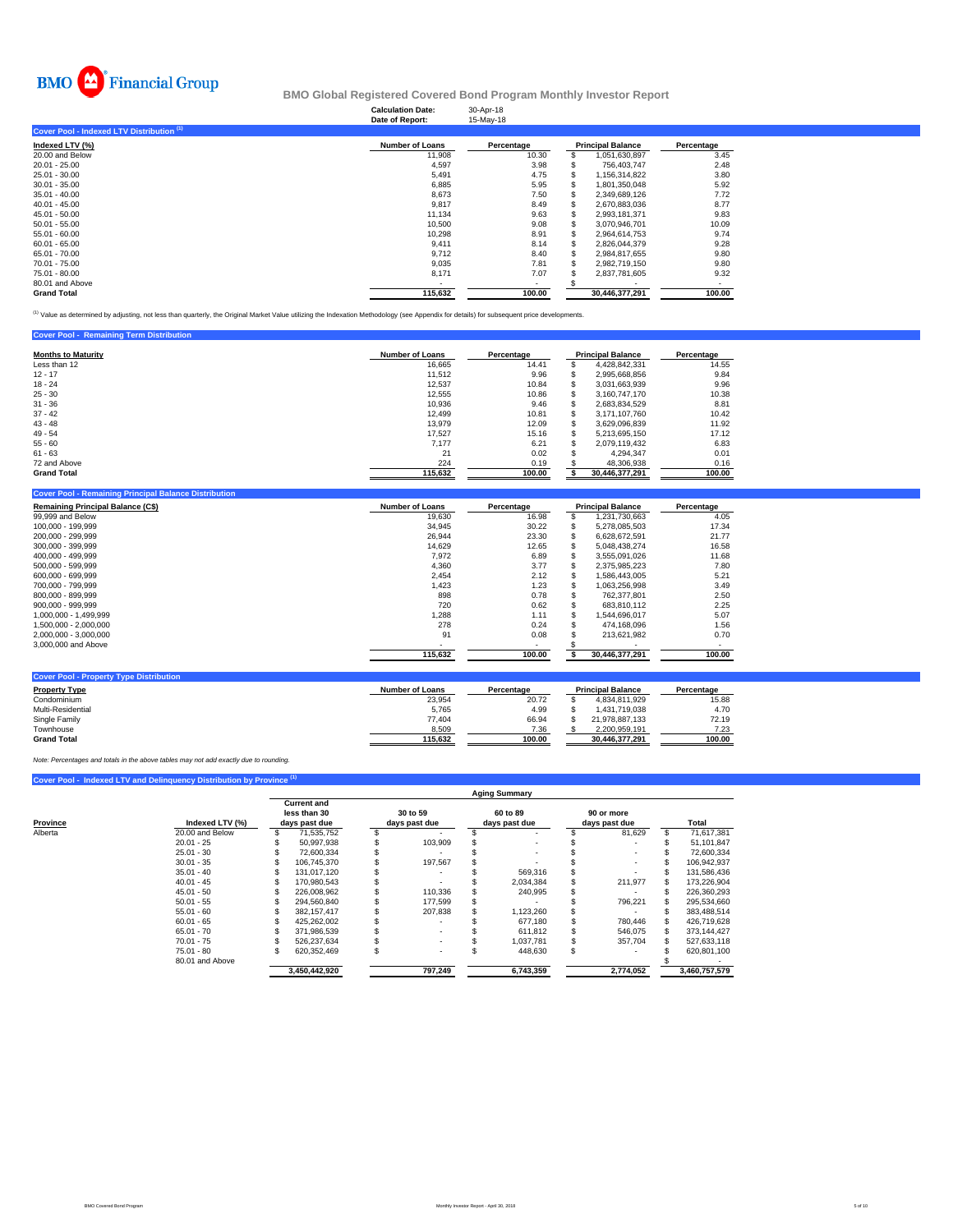

## **Calculation Date:** 30-Apr-18 **BMO Global Registered Covered Bond Program Monthly Investor Report**

|                                           | Date of Report:        | 15-May-18  |                          |            |
|-------------------------------------------|------------------------|------------|--------------------------|------------|
| Cover Pool - Indexed LTV Distribution (1) |                        |            |                          |            |
| Indexed LTV (%)                           | <b>Number of Loans</b> | Percentage | <b>Principal Balance</b> | Percentage |
| 20.00 and Below                           | 11,908                 | 10.30      | 1,051,630,897            | 3.45       |
| $20.01 - 25.00$                           | 4.597                  | 3.98       | 756.403.747              | 2.48       |
| 25.01 - 30.00                             | 5,491                  | 4.75       | 1,156,314,822            | 3.80       |
| $30.01 - 35.00$                           | 6,885                  | 5.95       | 1,801,350,048            | 5.92       |
| $35.01 - 40.00$                           | 8,673                  | 7.50       | 2.349.689.126            | 7.72       |
| $40.01 - 45.00$                           | 9.817                  | 8.49       | 2.670.883.036            | 8.77       |
| $45.01 - 50.00$                           | 11,134                 | 9.63       | 2.993.181.371            | 9.83       |
| $50.01 - 55.00$                           | 10,500                 | 9.08       | 3,070,946,701            | 10.09      |
| $55.01 - 60.00$                           | 10,298                 | 8.91       | 2,964,614,753            | 9.74       |
| $60.01 - 65.00$                           | 9,411                  | 8.14       | 2.826.044.379            | 9.28       |
| 65.01 - 70.00                             | 9.712                  | 8.40       | 2.984.817.655            | 9.80       |
| 70.01 - 75.00                             | 9,035                  | 7.81       | 2,982,719,150            | 9.80       |
| 75.01 - 80.00                             | 8,171                  | 7.07       | 2,837,781,605            | 9.32       |
| 80.01 and Above                           |                        |            |                          |            |
| <b>Grand Total</b>                        | 115,632                | 100.00     | 30.446.377.291           | 100.00     |

<sup>(1)</sup> Value as determined by adjusting, not less than quarterly, the Original Market Value utilizing the Indexation Methodology (see Appendix for details) for subsequent price developments.

| <b>Cover Pool - Remaining Term Distribution</b> |                        |            |   |                          |            |
|-------------------------------------------------|------------------------|------------|---|--------------------------|------------|
| <b>Months to Maturity</b>                       | <b>Number of Loans</b> | Percentage |   | <b>Principal Balance</b> | Percentage |
| Less than 12                                    | 16,665                 | 14.41      | S | 4.428.842.331            | 14.55      |
| $12 - 17$                                       | 11.512                 | 9.96       | S | 2.995.668.856            | 9.84       |
| $18 - 24$                                       | 12,537                 | 10.84      | S | 3.031.663.939            | 9.96       |
| $25 - 30$                                       | 12,555                 | 10.86      | S | 3.160.747.170            | 10.38      |
| $31 - 36$                                       | 10,936                 | 9.46       |   | 2,683,834,529            | 8.81       |
| $37 - 42$                                       | 12.499                 | 10.81      |   | 3.171.107.760            | 10.42      |
| $43 - 48$                                       | 13.979                 | 12.09      | S | 3.629.096.839            | 11.92      |
| $49 - 54$                                       | 17.527                 | 15.16      | S | 5.213.695.150            | 17.12      |
| $55 - 60$                                       | 7.177                  | 6.21       |   | 2.079.119.432            | 6.83       |
| $61 - 63$                                       | 21                     | 0.02       |   | 4.294.347                | 0.01       |
| 72 and Above                                    | 224                    | 0.19       |   | 48,306,938               | 0.16       |
| <b>Grand Total</b>                              | 115,632                | 100.00     |   | 30,446,377,291           | 100.00     |

| <b>Remaining Principal Balance (C\$)</b> | <b>Number of Loans</b> | Percentage |    | <b>Principal Balance</b> | Percentage |
|------------------------------------------|------------------------|------------|----|--------------------------|------------|
| 99,999 and Below                         | 19,630                 | 16.98      |    | 1,231,730,663            | 4.05       |
| 100.000 - 199.999                        | 34,945                 | 30.22      |    | 5,278,085,503            | 17.34      |
| 200.000 - 299.999                        | 26,944                 | 23.30      | ж  | 6.628.672.591            | 21.77      |
| 300.000 - 399.999                        | 14,629                 | 12.65      | ъ  | 5.048.438.274            | 16.58      |
| 400.000 - 499.999                        | 7,972                  | 6.89       |    | 3,555,091,026            | 11.68      |
| 500.000 - 599.999                        | 4,360                  | 3.77       | ъ  | 2,375,985,223            | 7.80       |
| 600.000 - 699.999                        | 2.454                  | 2.12       | ъ  | 1.586.443.005            | 5.21       |
| 700.000 - 799.999                        | 1,423                  | 1.23       | ъ  | 1,063,256,998            | 3.49       |
| 800,000 - 899,999                        | 898                    | 0.78       | ъ  | 762.377.801              | 2.50       |
| 900.000 - 999.999                        | 720                    | 0.62       | S. | 683.810.112              | 2.25       |
| 1.000.000 - 1.499.999                    | 1,288                  | 1.11       | \$ | 1.544.696.017            | 5.07       |
| 1.500.000 - 2.000.000                    | 278                    | 0.24       |    | 474.168.096              | 1.56       |
| 2,000,000 - 3,000,000                    | 91                     | 0.08       |    | 213.621.982              | 0.70       |
| 3,000,000 and Above                      |                        | $\sim$     |    |                          | . .        |
|                                          | 115,632                | 100.00     |    | 30,446,377,291           | 100.00     |

| <b>Property Type</b> | <b>Number of Loans</b> | Percentage | <b>Principal Balance</b> | Percentage |
|----------------------|------------------------|------------|--------------------------|------------|
| Condominium          | 23.954                 | 20.72      | 4.834.811.929            | 15.88      |
| Multi-Residential    | 5.765                  | 4.99       | 1.431.719.038            | 4.70       |
| Single Family        | 77.404                 | 66.94      | 21.978.887.133           | 72.19      |
| Townhouse            | 8,509                  | 7.36       | 2.200.959.191            | 7.23       |
| <b>Grand Total</b>   | 115.632                | 100.00     | 30.446.377.291           | 100.00     |

*Note: Percentages and totals in the above tables may not add exactly due to rounding.*

**Coverty Type Distribution** 

## **Cover Pool - Indexed LTV and Delinquency Distribution by Provine**

|          |                 | <b>Aging Summary</b> |                                                     |  |                           |                           |           |  |                             |    |               |  |  |  |  |
|----------|-----------------|----------------------|-----------------------------------------------------|--|---------------------------|---------------------------|-----------|--|-----------------------------|----|---------------|--|--|--|--|
| Province | Indexed LTV (%) |                      | <b>Current and</b><br>less than 30<br>days past due |  | 30 to 59<br>days past due | 60 to 89<br>days past due |           |  | 90 or more<br>days past due |    | Total         |  |  |  |  |
| Alberta  | 20.00 and Below |                      | 71.535.752                                          |  |                           |                           |           |  | 81,629                      | S. | 71,617,381    |  |  |  |  |
|          | $20.01 - 25$    |                      | 50.997.938                                          |  | 103.909                   |                           |           |  |                             |    | 51,101,847    |  |  |  |  |
|          | $25.01 - 30$    |                      | 72.600.334                                          |  |                           |                           |           |  |                             |    | 72,600,334    |  |  |  |  |
|          | $30.01 - 35$    |                      | 106.745.370                                         |  | 197.567                   |                           |           |  |                             |    | 106.942.937   |  |  |  |  |
|          | $35.01 - 40$    |                      | 131.017.120                                         |  |                           |                           | 569.316   |  |                             |    | 131.586.436   |  |  |  |  |
|          | $40.01 - 45$    |                      | 170.980.543                                         |  |                           |                           | 2.034.384 |  | 211,977                     |    | 173,226,904   |  |  |  |  |
|          | $45.01 - 50$    |                      | 226.008.962                                         |  | 110.336                   |                           | 240.995   |  |                             |    | 226.360.293   |  |  |  |  |
|          | $50.01 - 55$    |                      | 294,560,840                                         |  | 177,599                   |                           |           |  | 796,221                     |    | 295,534,660   |  |  |  |  |
|          | $55.01 - 60$    |                      | 382.157.417                                         |  | 207,838                   |                           | 1,123,260 |  |                             |    | 383,488,514   |  |  |  |  |
|          | $60.01 - 65$    |                      | 425.262.002                                         |  |                           |                           | 677.180   |  | 780.446                     |    | 426.719.628   |  |  |  |  |
|          | $65.01 - 70$    |                      | 371.986.539                                         |  |                           |                           | 611.812   |  | 546,075                     |    | 373,144,427   |  |  |  |  |
|          | $70.01 - 75$    |                      | 526.237.634                                         |  |                           |                           | 1.037.781 |  | 357,704                     |    | 527,633,118   |  |  |  |  |
|          | $75.01 - 80$    |                      | 620.352.469                                         |  |                           | ă.                        | 448,630   |  |                             |    | 620.801.100   |  |  |  |  |
|          | 80.01 and Above |                      |                                                     |  |                           |                           |           |  |                             |    |               |  |  |  |  |
|          |                 |                      | 3,450,442,920                                       |  | 797,249                   |                           | 6,743,359 |  | 2.774.052                   |    | 3,460,757,579 |  |  |  |  |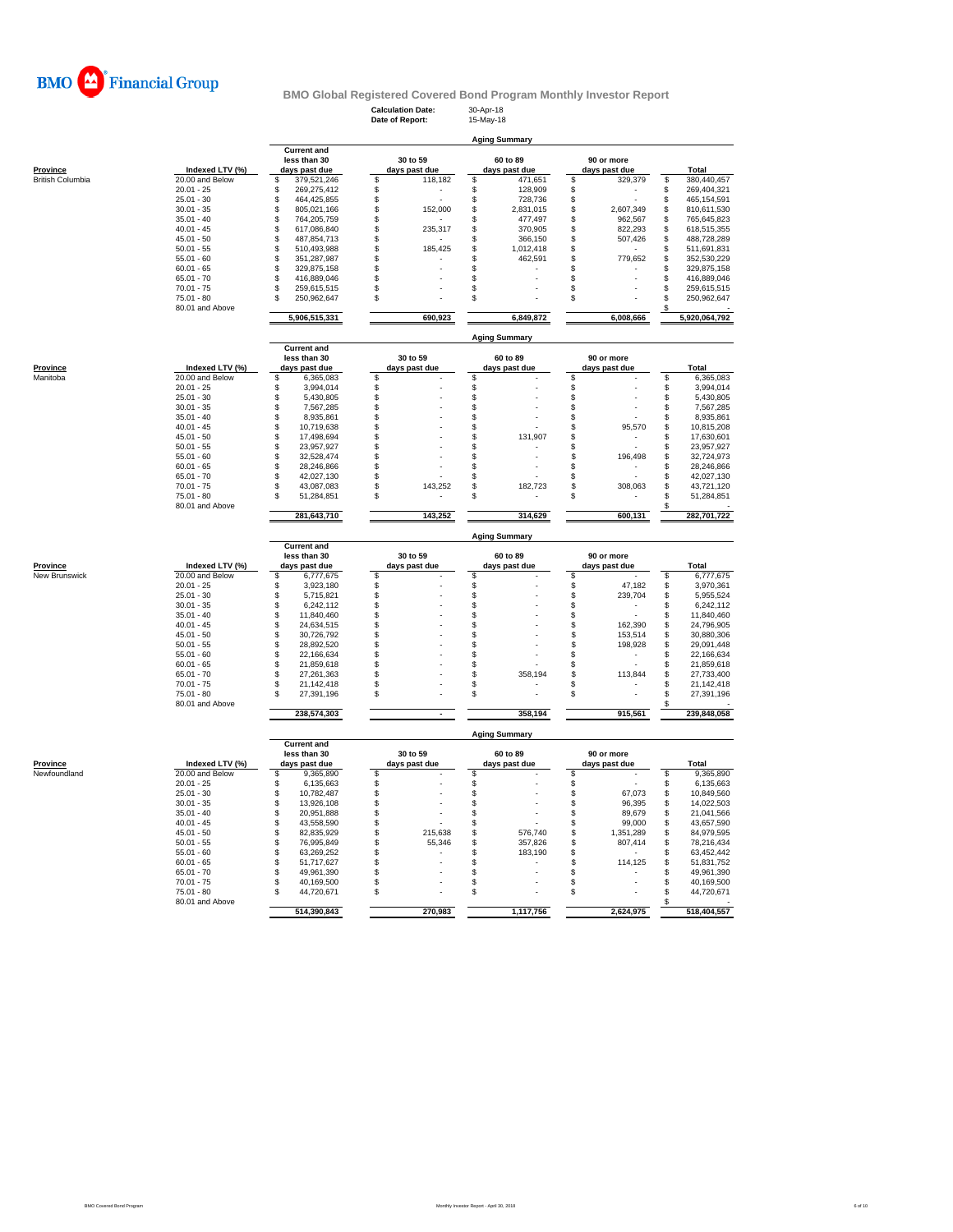

**Calculation Date:** 30-Apr-18 **Date of Report:** 15-May-18

**Aging Summary**

|                         |                 | <b>Current and</b> |          |               |                   |                      |    |               |                |               |
|-------------------------|-----------------|--------------------|----------|---------------|-------------------|----------------------|----|---------------|----------------|---------------|
|                         |                 | less than 30       |          | 30 to 59      |                   | 60 to 89             |    | 90 or more    |                |               |
| Province                | Indexed LTV (%) | days past due      |          | days past due |                   | days past due        |    | days past due |                | Total         |
| <b>British Columbia</b> | 20.00 and Below | \$<br>379,521,246  | \$       | 118,182       | \$                | 471,651              | \$ | 329,379       | \$             | 380,440,457   |
|                         | $20.01 - 25$    | \$<br>269,275,412  | \$       |               | \$                | 128,909              | \$ |               | \$             | 269,404,321   |
|                         | $25.01 - 30$    | \$<br>464,425,855  | \$       |               | $\ddot{\text{s}}$ | 728,736              | \$ |               | \$             | 465,154,591   |
|                         | $30.01 - 35$    | \$<br>805,021,166  | \$       | 152,000       | \$                | 2,831,015            | \$ | 2,607,349     | \$             | 810,611,530   |
|                         | $35.01 - 40$    | \$<br>764,205,759  | \$       |               | \$                | 477,497              | \$ | 962,567       | \$             | 765,645,823   |
|                         | $40.01 - 45$    | \$<br>617,086,840  | \$       | 235,317       | \$                | 370,905              | \$ | 822,293       | \$             | 618,515,355   |
|                         | $45.01 - 50$    | \$<br>487,854,713  | \$       |               | \$                | 366,150              | \$ | 507,426       | \$             | 488,728,289   |
|                         | $50.01 - 55$    | \$<br>510,493,988  | \$       | 185,425       | \$                | 1,012,418            | \$ |               | \$             | 511,691,831   |
|                         | $55.01 - 60$    | \$<br>351,287,987  | \$       |               | \$                | 462,591              | \$ | 779,652       | \$             | 352,530,229   |
|                         | $60.01 - 65$    | \$<br>329,875,158  | \$       |               | \$                |                      | \$ |               | \$             | 329,875,158   |
|                         | $65.01 - 70$    | \$                 | \$       |               | \$                |                      | S  |               | \$             |               |
|                         |                 | 416,889,046        |          |               |                   |                      |    |               |                | 416,889,046   |
|                         | $70.01 - 75$    | \$<br>259,615,515  | \$       |               | \$                |                      | \$ |               | \$             | 259,615,515   |
|                         | $75.01 - 80$    | \$<br>250,962,647  | \$       |               | \$                |                      | \$ |               | \$             | 250,962,647   |
|                         | 80.01 and Above |                    |          |               |                   |                      |    |               | \$             |               |
|                         |                 | 5,906,515,331      |          | 690,923       |                   | 6,849,872            |    | 6,008,666     |                | 5,920,064,792 |
|                         |                 |                    |          |               |                   |                      |    |               |                |               |
|                         |                 |                    |          |               |                   | <b>Aging Summary</b> |    |               |                |               |
|                         |                 | <b>Current and</b> |          |               |                   |                      |    |               |                |               |
|                         |                 | less than 30       |          | 30 to 59      |                   | 60 to 89             |    | 90 or more    |                |               |
| Province                | Indexed LTV (%) | days past due      |          | days past due |                   | days past due        |    | days past due |                | Total         |
| Manitoba                | 20.00 and Below | \$<br>6,365,083    | \$       |               | \$                |                      | \$ |               | \$             | 6,365,083     |
|                         | $20.01 - 25$    | \$<br>3.994.014    | \$       |               | \$                |                      | \$ |               | \$             | 3,994,014     |
|                         | $25.01 - 30$    | \$<br>5,430,805    | \$       |               | \$                |                      | \$ |               | \$             | 5,430,805     |
|                         | $30.01 - 35$    | \$<br>7,567,285    | \$       |               | \$                |                      | \$ |               | \$             | 7,567,285     |
|                         |                 | \$                 |          |               |                   |                      |    |               |                |               |
|                         | $35.01 - 40$    | 8,935,861          | \$       |               | \$                |                      | \$ |               | \$             | 8,935,861     |
|                         | $40.01 - 45$    | \$<br>10,719,638   | \$       |               | \$                |                      | \$ | 95,570        | $$\mathbb{S}$$ | 10,815,208    |
|                         | $45.01 - 50$    | \$<br>17,498,694   | \$       |               | S                 | 131,907              | \$ |               | \$             | 17,630,601    |
|                         | $50.01 - 55$    | \$<br>23,957,927   | \$       |               | \$                |                      | \$ |               | \$             | 23,957,927    |
|                         | $55.01 - 60$    | \$<br>32,528,474   | \$       |               | \$                |                      | \$ | 196,498       | \$             | 32,724,973    |
|                         | $60.01 - 65$    | \$<br>28,246,866   | \$       |               | \$                |                      | \$ |               | \$             | 28,246,866    |
|                         | $65.01 - 70$    | \$<br>42,027,130   | S        |               | \$                |                      | \$ |               | \$             | 42,027,130    |
|                         | $70.01 - 75$    | \$<br>43,087,083   | \$       | 143,252       | \$                | 182,723              | \$ | 308,063       | \$             | 43,721,120    |
|                         | $75.01 - 80$    | \$<br>51,284,851   | \$       |               | \$                |                      | \$ |               | \$             | 51,284,851    |
|                         | 80.01 and Above |                    |          |               |                   |                      |    |               | \$             |               |
|                         |                 | 281,643,710        |          | 143,252       |                   | 314,629              |    | 600,131       |                | 282,701,722   |
|                         |                 |                    |          |               |                   |                      |    |               |                |               |
|                         |                 |                    |          |               |                   |                      |    |               |                |               |
|                         |                 |                    |          |               |                   |                      |    |               |                |               |
|                         |                 |                    |          |               |                   | <b>Aging Summary</b> |    |               |                |               |
|                         |                 | <b>Current and</b> |          |               |                   |                      |    |               |                |               |
|                         |                 | less than 30       |          | 30 to 59      |                   | 60 to 89             |    | 90 or more    |                |               |
| Province                | Indexed LTV (%) | days past due      |          | days past due |                   | days past due        |    | days past due |                | <b>Total</b>  |
| New Brunswick           | 20.00 and Below | \$<br>6,777,675    | \$.      |               | \$                |                      | \$ |               | \$             | 6,777,675     |
|                         | $20.01 - 25$    | \$<br>3,923,180    | \$       |               | \$                |                      | \$ | 47,182        | \$             | 3,970,361     |
|                         | $25.01 - 30$    | \$<br>5,715,821    | \$       |               | \$                |                      | \$ | 239,704       | \$             | 5,955,524     |
|                         | $30.01 - 35$    | \$<br>6,242,112    | \$       |               | \$                |                      | \$ |               | \$             | 6,242,112     |
|                         | $35.01 - 40$    | \$<br>11,840,460   | \$       |               | \$                |                      | \$ |               | \$             | 11,840,460    |
|                         | $40.01 - 45$    | \$<br>24,634,515   | \$       |               | \$                |                      | \$ | 162,390       | \$             | 24,796,905    |
|                         | $45.01 - 50$    | 30,726,792         |          |               | \$                |                      | \$ | 153,514       |                | 30,880,306    |
|                         | $50.01 - 55$    | \$<br>28,892,520   | \$<br>\$ |               | \$                |                      | \$ |               | \$<br>\$       |               |
|                         | $55.01 - 60$    | \$                 |          |               |                   |                      |    | 198,928       |                | 29,091,448    |
|                         |                 | \$<br>22,166,634   | \$       |               | \$                |                      | \$ |               | \$             | 22,166,634    |
|                         | $60.01 - 65$    | \$<br>21,859,618   | S        |               | \$                |                      | \$ |               | \$             | 21,859,618    |
|                         | $65.01 - 70$    | \$<br>27,261,363   | S        |               | \$                | 358,194              | \$ | 113,844       | \$             | 27,733,400    |
|                         | $70.01 - 75$    | \$<br>21,142,418   | \$       |               | \$                |                      | \$ |               | \$             | 21,142,418    |
|                         | $75.01 - 80$    | \$<br>27,391,196   | \$       |               | \$                |                      | \$ |               | \$             | 27,391,196    |
|                         | 80.01 and Above |                    |          |               |                   |                      |    |               | \$             |               |
|                         |                 | 238,574,303        |          |               |                   | 358,194              |    | 915,561       |                | 239,848,058   |
|                         |                 |                    |          |               |                   |                      |    |               |                |               |
|                         |                 |                    |          |               |                   | <b>Aging Summary</b> |    |               |                |               |
|                         |                 | <b>Current and</b> |          |               |                   |                      |    |               |                |               |
|                         |                 | less than 30       |          | 30 to 59      |                   | 60 to 89             |    | 90 or more    |                |               |
| <b>Province</b>         | Indexed LTV (%) | days past due      |          | days past due |                   | days past due        |    | days past due |                | Total         |
| Newfoundland            | 20.00 and Below | 9,365,890<br>\$    | \$       |               | \$                |                      | \$ |               | \$             | 9,365,890     |
|                         | $20.01 - 25$    | \$<br>6,135,663    | \$       |               | \$                |                      | \$ |               | \$             | 6,135,663     |
|                         | $25.01 - 30$    | \$<br>10,782,487   | \$       |               | \$                |                      | \$ | 67,073        | \$             | 10,849,560    |
|                         | $30.01 - 35$    | 13,926,108         | \$       |               | \$                |                      | \$ | 96,395        | \$             | 14,022,503    |
|                         |                 | \$                 |          |               |                   |                      |    |               |                |               |
|                         | $35.01 - 40$    | \$<br>20,951,888   | \$       |               | \$                |                      | \$ | 89,679        | \$             | 21,041,566    |
|                         | $40.01 - 45$    | \$<br>43,558,590   | \$       |               | \$                |                      | \$ | 99,000        | \$             | 43,657,590    |
|                         | $45.01 - 50$    | \$<br>82,835,929   | \$       | 215,638       | \$                | 576,740              | \$ | 1,351,289     | \$             | 84,979,595    |
|                         | $50.01 - 55$    | \$<br>76,995,849   | \$       | 55,346        | \$                | 357,826              | \$ | 807,414       | \$             | 78,216,434    |
|                         | $55.01 - 60$    | \$<br>63,269,252   | S        |               | \$                | 183,190              | \$ |               | \$             | 63,452,442    |
|                         | $60.01 - 65$    | \$<br>51,717,627   | S        |               | \$                |                      | \$ | 114,125       | \$             | 51,831,752    |
|                         | $65.01 - 70$    | \$<br>49,961,390   | \$       |               | \$                |                      | \$ |               | \$             | 49,961,390    |
|                         | $70.01 - 75$    | \$<br>40,169,500   | \$       |               | \$                |                      | \$ |               | \$             | 40,169,500    |
|                         | $75.01 - 80$    | 44,720,671         | \$.      |               | \$                |                      | \$ |               | \$             | 44,720,671    |
|                         | 80.01 and Above |                    |          |               |                   |                      |    |               |                |               |
|                         |                 | 514,390,843        |          | 270,983       |                   | 1,117,756            |    | 2,624,975     |                | 518,404,557   |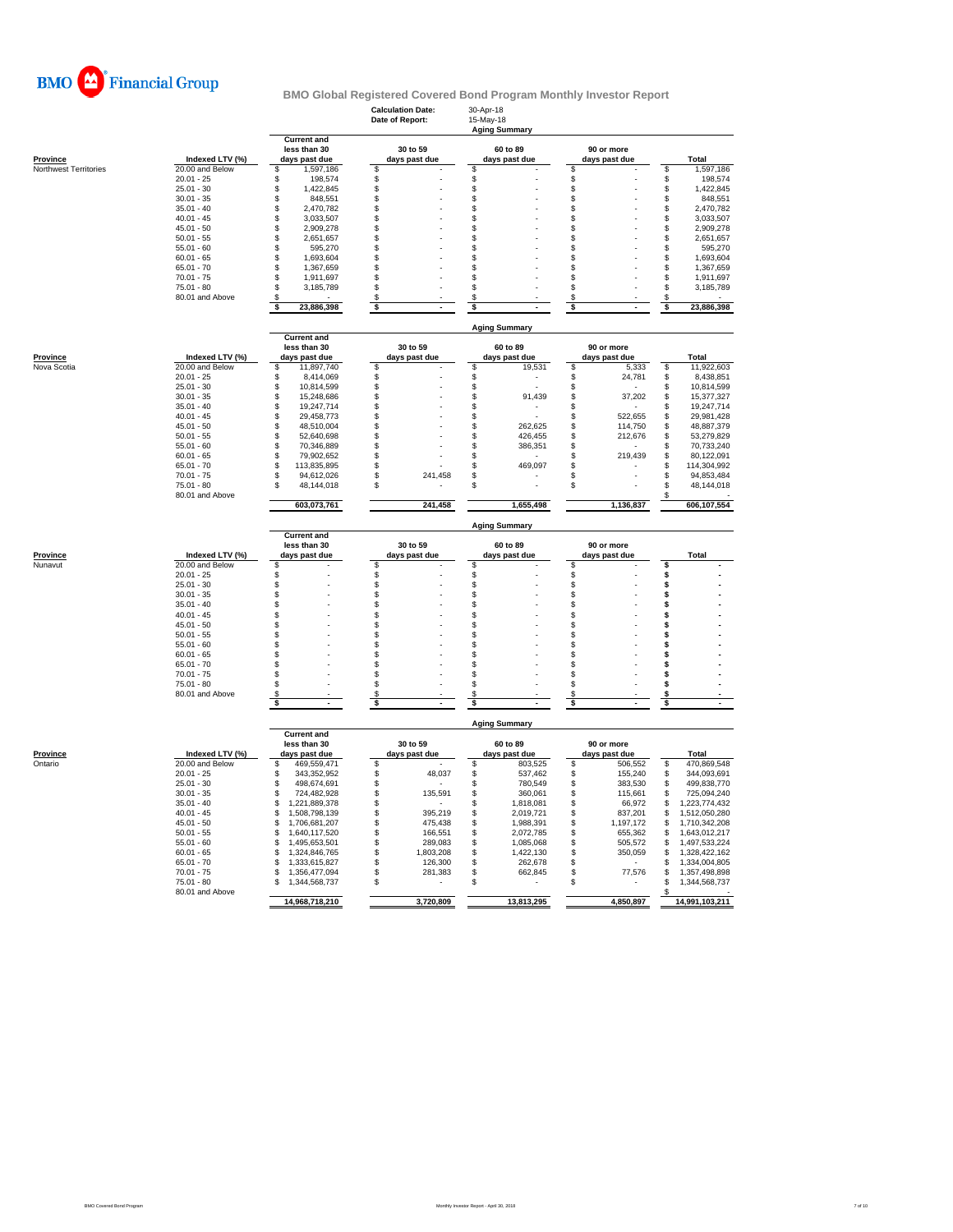

|                                          |                                    |                                    | <b>Calculation Date:</b><br>Date of Report: | 30-Apr-18<br>15-May-18<br><b>Aging Summary</b> |                        |                          |
|------------------------------------------|------------------------------------|------------------------------------|---------------------------------------------|------------------------------------------------|------------------------|--------------------------|
|                                          |                                    | <b>Current and</b><br>less than 30 | 30 to 59                                    | 60 to 89                                       | 90 or more             |                          |
| <b>Province</b><br>Northwest Territories | Indexed LTV (%)<br>20.00 and Below | days past due<br>1,597,186<br>\$   | days past due<br>\$                         | days past due<br>\$                            | days past due<br>\$    | Total<br>\$<br>1,597,186 |
|                                          | $20.01 - 25$                       | \$<br>198,574                      | \$                                          | \$                                             | \$                     | \$<br>198,574            |
|                                          | $25.01 - 30$                       | \$<br>1,422,845                    | \$                                          | \$                                             | \$                     | \$<br>1,422,845          |
|                                          | $30.01 - 35$                       | \$<br>848,551                      | \$                                          | \$                                             | \$                     | \$<br>848,551            |
|                                          | $35.01 - 40$                       | \$<br>2,470,782                    | \$                                          | \$                                             | \$                     | 2,470,782<br>S           |
|                                          | $40.01 - 45$                       | \$<br>3,033,507                    | \$                                          | \$                                             | \$                     | \$<br>3,033,507          |
|                                          | $45.01 - 50$                       | $\ddot{\$}$<br>2,909,278           | \$                                          | S                                              | \$                     | \$<br>2,909,278          |
|                                          | $50.01 - 55$                       | \$<br>2,651,657                    | \$                                          | \$                                             | \$                     | \$<br>2,651,657          |
|                                          | $55.01 - 60$                       | \$<br>595,270                      | \$                                          | \$                                             | \$                     | \$<br>595,270            |
|                                          | $60.01 - 65$                       | \$<br>1,693,604                    | \$                                          | \$                                             | \$                     | \$<br>1,693,604          |
|                                          | $65.01 - 70$                       | \$<br>1,367,659                    | \$                                          | \$                                             | \$                     | \$<br>1,367,659          |
|                                          | $70.01 - 75$                       | \$<br>1,911,697                    | \$                                          | \$                                             | \$                     | \$<br>1,911,697          |
|                                          | $75.01 - 80$                       | \$<br>3,185,789                    | \$                                          | \$                                             | \$                     | \$<br>3,185,789          |
|                                          | 80.01 and Above                    | \$<br>23,886,398<br>\$             | \$<br>\$                                    | \$<br>\$                                       | \$<br>\$               | S<br>23,886,398<br>\$    |
|                                          |                                    |                                    |                                             | <b>Aging Summary</b>                           |                        |                          |
|                                          |                                    | <b>Current and</b>                 |                                             |                                                |                        |                          |
|                                          | Indexed LTV (%)                    | less than 30<br>days past due      | 30 to 59                                    | 60 to 89                                       | 90 or more             | Total                    |
| <b>Province</b><br>Nova Scotia           | 20.00 and Below                    | 11,897,740                         | days past due                               | days past due<br>19,531                        | days past due<br>5,333 | 11,922,603<br>\$         |
|                                          | $20.01 - 25$                       | \$<br>\$<br>8,414,069              | \$<br>\$                                    | \$<br>\$                                       | \$<br>\$<br>24,781     | 8,438,851<br>\$          |
|                                          | $25.01 - 30$                       | \$<br>10,814,599                   | \$                                          | \$                                             | \$                     | 10,814,599<br>S          |
|                                          | $30.01 - 35$                       | \$<br>15,248,686                   | \$                                          | \$<br>91,439                                   | 37,202<br>\$           | \$<br>15,377,327         |
|                                          | $35.01 - 40$                       | \$<br>19,247,714                   | \$                                          | \$                                             | \$                     | \$<br>19,247,714         |
|                                          | $40.01 - 45$                       | \$<br>29,458,773                   | \$                                          | \$                                             | \$<br>522,655          | \$<br>29,981,428         |
|                                          | $45.01 - 50$                       | \$<br>48,510,004                   | \$                                          | \$<br>262,625                                  | \$<br>114,750          | \$<br>48,887,379         |
|                                          | $50.01 - 55$                       | \$<br>52,640,698                   | \$                                          | \$<br>426,455                                  | \$<br>212,676          | \$<br>53,279,829         |
|                                          | $55.01 - 60$                       | \$<br>70,346,889                   | \$                                          | \$<br>386,351                                  | \$                     | \$<br>70,733,240         |
|                                          | $60.01 - 65$                       | \$<br>79,902,652                   | \$                                          | \$                                             | \$<br>219,439          | \$<br>80.122.091         |
|                                          | $65.01 - 70$                       | \$<br>113,835,895                  | \$                                          | \$<br>469,097                                  | \$                     | \$<br>114,304,992        |
|                                          | $70.01 - 75$                       | \$<br>94,612,026                   | \$<br>241,458                               | \$                                             | S                      | \$<br>94,853,484         |
|                                          | $75.01 - 80$<br>80.01 and Above    | \$<br>48,144,018                   | \$                                          | \$                                             | \$                     | 48,144,018<br>S          |
|                                          |                                    | 603,073,761                        | 241,458                                     | 1,655,498                                      | 1,136,837              | 606,107,554              |
|                                          |                                    |                                    |                                             | <b>Aging Summary</b>                           |                        |                          |
|                                          |                                    | <b>Current and</b><br>less than 30 | 30 to 59                                    | 60 to 89                                       | 90 or more             |                          |
| Province                                 | Indexed LTV (%)                    | days past due                      | days past due                               | days past due                                  | days past due          | <b>Total</b>             |
| Nunavut                                  | 20.00 and Below                    | \$                                 | \$                                          | \$                                             | \$                     | S                        |
|                                          | $20.01 - 25$<br>$25.01 - 30$       | \$<br>\$                           | \$<br>\$                                    | \$<br>\$                                       | \$<br>\$               | \$<br>\$                 |
|                                          | $30.01 - 35$                       | \$                                 | \$                                          | \$                                             | \$                     | \$                       |
|                                          | $35.01 - 40$                       | \$                                 | \$                                          | \$                                             | \$                     | \$                       |
|                                          | $40.01 - 45$                       | \$                                 | \$                                          | \$                                             | \$                     | \$                       |
|                                          | $45.01 - 50$                       | \$                                 | \$                                          | \$                                             | \$                     | \$                       |
|                                          | $50.01 - 55$                       | \$                                 | \$                                          | \$                                             | \$                     | s                        |
|                                          | $55.01 - 60$                       | \$                                 | \$                                          | S                                              | S                      | \$                       |
|                                          | $60.01 - 65$                       | \$                                 | \$                                          | \$                                             | \$                     | s                        |
|                                          | $65.01 - 70$                       | \$                                 | \$                                          | S                                              | \$                     | \$                       |
|                                          | $70.01 - 75$                       | \$                                 | \$                                          | \$                                             | \$                     | \$                       |
|                                          | $75.01 - 80$                       | \$                                 | \$                                          | \$                                             | \$                     | s                        |
|                                          | 80.01 and Above                    | \$<br>\$                           | S                                           | S                                              | S<br>\$                | \$<br>\$                 |
|                                          |                                    |                                    | \$                                          | \$                                             |                        |                          |
|                                          |                                    | <b>Current and</b>                 |                                             | <b>Aging Summary</b>                           |                        |                          |
|                                          |                                    | less than 30                       | 30 to 59                                    | 60 to 89                                       | 90 or more             |                          |
| <b>Province</b>                          | Indexed LTV (%)                    | days past due                      | days past due                               | days past due                                  | days past due          | Total                    |
| Ontario                                  | 20.00 and Below                    | 469,559,471<br>\$                  | \$                                          | \$<br>803,525                                  | \$<br>506,552          | \$<br>470,869,548        |
|                                          | $20.01 - 25$                       | \$<br>343,352,952                  | \$<br>48,037                                | \$<br>537,462                                  | \$<br>155,240          | 344,093,691<br>\$        |
|                                          | $25.01 - 30$                       | \$<br>498,674,691                  | \$                                          | \$<br>780,549                                  | 383,530<br>\$          | \$<br>499,838,770        |
|                                          | $30.01 - 35$                       | \$<br>724,482,928                  | \$<br>135,591                               | \$<br>360,061                                  | \$<br>115,661          | \$<br>725,094,240        |
|                                          | $35.01 - 40$                       | \$<br>1,221,889,378                | \$                                          | \$<br>1,818,081                                | \$<br>66,972           | 1,223,774,432<br>S       |
|                                          | $40.01 - 45$                       | \$<br>1,508,798,139                | \$<br>395,219                               | \$<br>2,019,721                                | \$<br>837,201          | 1,512,050,280<br>\$      |
|                                          | $45.01 - 50$                       | \$<br>1,706,681,207                | \$<br>475,438                               | \$<br>1,988,391                                | \$<br>1,197,172        | 1,710,342,208<br>\$      |
|                                          | $50.01 - 55$                       | \$<br>1,640,117,520                | \$<br>166,551                               | \$<br>2,072,785                                | 655,362<br>\$          | S<br>1,643,012,217       |
|                                          |                                    | \$<br>1,495,653,501                | \$<br>289,083                               | \$<br>1,085,068                                | \$<br>505,572          | 1,497,533,224<br>\$      |
|                                          | $55.01 - 60$                       |                                    |                                             |                                                |                        |                          |
|                                          | $60.01 - 65$                       | \$<br>1,324,846,765                | \$<br>1,803,208                             | \$<br>1,422,130                                | \$<br>350,059          | 1,328,422,162<br>S       |
|                                          | $65.01 - 70$                       | \$<br>1,333,615,827                | \$<br>126,300                               | \$<br>262,678                                  | \$                     | 1,334,004,805<br>S       |
|                                          | $70.01 - 75$                       | \$<br>1,356,477,094                | \$<br>281,383                               | S<br>662,845                                   | \$<br>77,576           | 1,357,498,898<br>S       |
|                                          | $75.01 - 80$                       | \$<br>1,344,568,737                | \$                                          | \$                                             | \$                     | \$<br>1,344,568,737      |
|                                          | 80.01 and Above                    | 14,968,718,210                     | 3,720,809                                   | 13,813,295                                     | 4,850,897              | £<br>14,991,103,211      |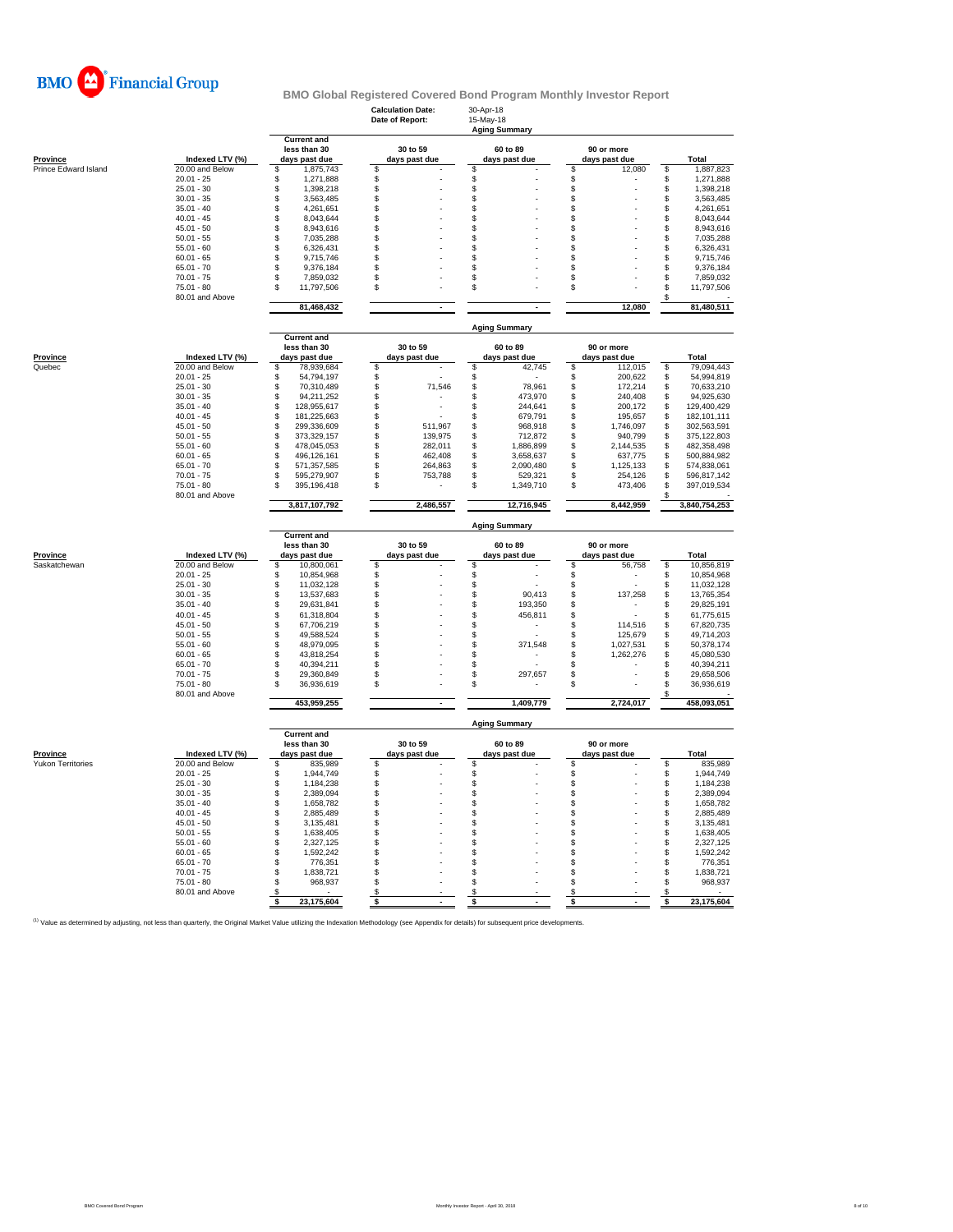

|                      |                                 |                                                     | <b>Calculation Date:</b><br>Date of Report: | 30-Apr-18<br>15-May-18<br><b>Aging Summary</b> |                                    |                                      |
|----------------------|---------------------------------|-----------------------------------------------------|---------------------------------------------|------------------------------------------------|------------------------------------|--------------------------------------|
| <b>Province</b>      | Indexed LTV (%)                 | <b>Current and</b><br>less than 30<br>days past due | 30 to 59<br>days past due                   | 60 to 89<br>days past due                      | 90 or more<br>days past due        | Total                                |
| Prince Edward Island | 20.00 and Below                 | \$<br>1,875,743                                     | s                                           | S                                              | \$<br>12,080                       | S<br>1,887,823                       |
|                      | $20.01 - 25$                    | \$<br>1,271,888                                     | \$                                          | \$                                             | \$                                 | \$<br>1,271,888                      |
|                      | $25.01 - 30$                    | $$\mathbb{S}$$<br>1,398,218                         | $\mathsf{\$}$                               | \$                                             | \$                                 | \$<br>1,398,218                      |
|                      | $30.01 - 35$                    | \$<br>3,563,485                                     | \$                                          | \$                                             | \$                                 | \$<br>3,563,485                      |
|                      | $35.01 - 40$                    | \$<br>4,261,651                                     | \$                                          | \$                                             | \$                                 | \$<br>4,261,651                      |
|                      | $40.01 - 45$                    | 8,043,644<br>\$                                     | \$                                          | \$                                             | \$                                 | \$<br>8,043,644                      |
|                      | $45.01 - 50$                    | \$<br>8,943,616                                     | \$                                          | \$                                             | S                                  | \$<br>8,943,616                      |
|                      | $50.01 - 55$                    | \$<br>7,035,288                                     | \$                                          | \$                                             | \$                                 | \$<br>7,035,288                      |
|                      | $55.01 - 60$                    | \$<br>6,326,431                                     | \$                                          | \$                                             | \$                                 | \$<br>6,326,431                      |
|                      | $60.01 - 65$                    | \$<br>9,715,746                                     | \$                                          | \$                                             | \$                                 | \$<br>9,715,746                      |
|                      | $65.01 - 70$                    | \$<br>9,376,184<br>\$                               | S<br>\$                                     | \$<br>\$                                       | \$<br>\$                           | \$<br>9,376,184                      |
|                      | $70.01 - 75$<br>$75.01 - 80$    | 7,859,032<br>\$                                     | \$                                          | \$                                             | \$                                 | \$<br>7,859,032<br>\$                |
|                      | 80.01 and Above                 | 11,797,506                                          |                                             |                                                |                                    | 11,797,506<br>\$                     |
|                      |                                 | 81,468,432                                          |                                             |                                                | 12,080                             | 81,480,511                           |
|                      |                                 | <b>Current and</b>                                  |                                             | <b>Aging Summary</b>                           |                                    |                                      |
|                      |                                 | less than 30                                        | 30 to 59                                    | 60 to 89                                       | 90 or more                         |                                      |
| <b>Province</b>      | Indexed LTV (%)                 | days past due                                       | days past due                               | days past due                                  | days past due                      | Total                                |
| Quebec               | 20.00 and Below                 | \$<br>78.939.684                                    | \$                                          | \$<br>42,745                                   | \$<br>112,015                      | \$<br>79,094,443                     |
|                      | $20.01 - 25$                    | \$<br>54,794,197                                    | \$                                          | \$                                             | \$<br>200,622                      | 54,994,819<br>\$                     |
|                      | $25.01 - 30$                    | \$<br>70,310,489                                    | 71,546<br>\$                                | \$<br>78,961                                   | \$<br>172,214                      | \$<br>70,633,210                     |
|                      | $30.01 - 35$                    | 94.211.252<br>\$                                    | \$                                          | \$<br>473.970                                  | 240.408<br>\$                      | \$<br>94.925.630                     |
|                      | $35.01 - 40$                    | \$<br>128,955,617                                   | \$                                          | \$<br>244,641                                  | \$<br>200,172                      | \$<br>129,400,429                    |
|                      | $40.01 - 45$                    | \$<br>181,225,663                                   | \$                                          | \$<br>679,791                                  | \$<br>195,657                      | \$<br>182,101,111                    |
|                      | $45.01 - 50$                    | \$<br>299.336.609                                   | \$<br>511,967                               | \$<br>968,918                                  | \$<br>1,746,097                    | \$<br>302,563,591                    |
|                      | $50.01 - 55$                    | \$<br>373,329,157                                   | \$<br>139,975                               | \$<br>712,872                                  | \$<br>940,799                      | \$<br>375,122,803                    |
|                      | $55.01 - 60$                    | 478,045,053<br>\$                                   | \$<br>282,011                               | \$<br>1,886,899                                | 2,144,535<br>\$                    | \$<br>482,358,498                    |
|                      | $60.01 - 65$                    | 496,126,161<br>\$                                   | \$<br>462.408                               | \$<br>3,658,637                                | 637,775<br>\$                      | 500.884.982<br>\$                    |
|                      | $65.01 - 70$                    | 571,357,585<br>\$                                   | \$<br>264,863                               | \$<br>2,090,480                                | 1,125,133<br>\$                    | \$<br>574,838,061                    |
|                      | $70.01 - 75$                    | \$<br>595,279,907                                   | \$<br>753,788                               | \$<br>529,321                                  | \$<br>254,126                      | \$<br>596,817,142                    |
|                      | $75.01 - 80$<br>80.01 and Above | 395,196,418<br>۹                                    | \$                                          | S<br>1,349,710                                 | \$<br>473,406                      | \$<br>397,019,534                    |
|                      |                                 | 3,817,107,792                                       | 2,486,557                                   | 12,716,945                                     | 8,442,959                          | 3,840,754,253                        |
|                      |                                 | <b>Current and</b>                                  |                                             | <b>Aging Summary</b>                           |                                    |                                      |
|                      |                                 | less than 30                                        | 30 to 59                                    | 60 to 89                                       | 90 or more                         |                                      |
| Province             | Indexed LTV (%)                 | days past due                                       | days past due                               | days past due                                  | days past due                      | <b>Total</b>                         |
| Saskatchewan         | 20.00 and Below                 | \$<br>10,800,061                                    | <sup>\$</sup>                               | \$                                             | \$<br>56,758                       | \$<br>10,856,819                     |
|                      | $20.01 - 25$                    | 10,854,968<br>\$                                    | \$                                          | \$                                             | \$<br>٠                            | \$<br>10.854.968                     |
|                      | $25.01 - 30$                    | \$<br>11,032,128                                    | \$                                          | \$                                             | \$                                 | \$<br>11,032,128                     |
|                      | $30.01 - 35$                    | \$<br>13,537,683                                    | \$                                          | \$<br>90,413                                   | \$<br>137,258                      | \$<br>13,765,354                     |
|                      | $35.01 - 40$                    | \$<br>29,631,841                                    | \$                                          | S<br>193.350                                   | \$                                 | \$<br>29,825,191                     |
|                      | $40.01 - 45$                    | \$<br>61,318,804                                    | \$                                          | \$<br>456,811                                  | \$                                 | \$<br>61,775,615                     |
|                      | $45.01 - 50$<br>$50.01 - 55$    | \$<br>67,706,219                                    | \$                                          | \$                                             | \$<br>114,516                      | \$<br>67,820,735                     |
|                      |                                 | 49,588,524<br>\$                                    | \$                                          | \$                                             | 125,679<br>\$                      | \$<br>49,714,203                     |
|                      | $55.01 - 60$<br>$60.01 - 65$    | 48,979,095<br>\$<br>\$<br>43,818,254                | \$<br>\$                                    | \$<br>371,548<br>\$                            | 1,027,531<br>\$<br>\$<br>1,262,276 | \$<br>50,378,174<br>\$<br>45,080,530 |
|                      | $65.01 - 70$                    | \$<br>40,394,211                                    | \$                                          | \$                                             | \$                                 | \$<br>40,394,211                     |
|                      | $70.01 - 75$                    | \$<br>29,360,849                                    | \$                                          | \$<br>297,657                                  | \$                                 | \$<br>29,658,506                     |
|                      | $75.01 - 80$                    | £.<br>36,936,619                                    | \$                                          | \$                                             | \$                                 | \$<br>36,936,619                     |
|                      | 80.01 and Above                 | 453,959,255                                         | $\blacksquare$                              | 1,409,779                                      | 2,724,017                          | \$<br>458,093,051                    |
|                      |                                 |                                                     |                                             | <b>Aging Summary</b>                           |                                    |                                      |
|                      |                                 | <b>Current and</b><br>less than 30                  | 30 to 59                                    | 60 to 89                                       | 90 or more                         |                                      |
| <b>Province</b>      | Indexed LTV (%)                 | days past due                                       | days past due                               | days past due                                  | days past due                      | Total                                |
| Yukon Territories    | 20.00 and Below                 | 835,989<br>\$                                       | \$                                          | \$                                             | \$                                 | 835,989<br>\$                        |
|                      | $20.01 - 25$                    | \$<br>1,944,749                                     | \$                                          | \$                                             | \$                                 | \$<br>1,944,749                      |
|                      | $25.01 - 30$                    | \$<br>1,184,238                                     | $\mathsf{\$}$                               | \$                                             | \$                                 | \$<br>1,184,238                      |
|                      | $30.01 - 35$                    | 2,389,094<br>\$                                     | \$                                          | \$                                             | \$                                 | \$<br>2,389,094                      |
|                      | $35.01 - 40$                    | \$<br>1,658,782                                     | \$                                          | \$                                             | \$                                 | \$<br>1,658,782                      |
|                      | $40.01 - 45$                    | \$<br>2,885,489                                     | \$                                          | \$                                             | \$                                 | \$<br>2,885,489                      |
|                      | $45.01 - 50$                    | \$<br>3,135,481                                     | \$                                          | \$                                             | \$                                 | \$<br>3,135,481                      |
|                      | $50.01 - 55$                    | \$<br>1,638,405                                     | \$                                          | \$                                             | \$                                 | \$<br>1,638,405                      |
|                      | $55.01 - 60$                    | \$<br>2,327,125                                     | \$                                          | \$                                             | \$                                 | \$<br>2,327,125                      |
|                      | $60.01 - 65$                    | \$<br>1,592,242                                     | \$                                          | \$                                             | \$                                 | \$<br>1,592,242                      |
|                      | $65.01 - 70$                    | 776,351<br>\$.                                      | \$                                          | \$                                             | \$                                 | \$<br>776,351                        |
|                      | $70.01 - 75$                    | 1,838,721<br>\$                                     | \$                                          | \$                                             | \$                                 | \$<br>1,838,721                      |
|                      | $75.01 - 80$                    | 968,937<br>S                                        | \$                                          | \$                                             | \$                                 | \$<br>968,937                        |
|                      | 80.01 and Above                 | S                                                   | \$                                          | \$                                             | \$                                 | \$                                   |
|                      |                                 | 23,175,604<br>- \$                                  | \$                                          | \$                                             | \$                                 | \$<br>23,175,604                     |

<sup>(1)</sup> Value as determined by adjusting, not less than quarterly, the Original Market Value utilizing the Indexation Methodology (see Appendix for details) for subsequent price developments.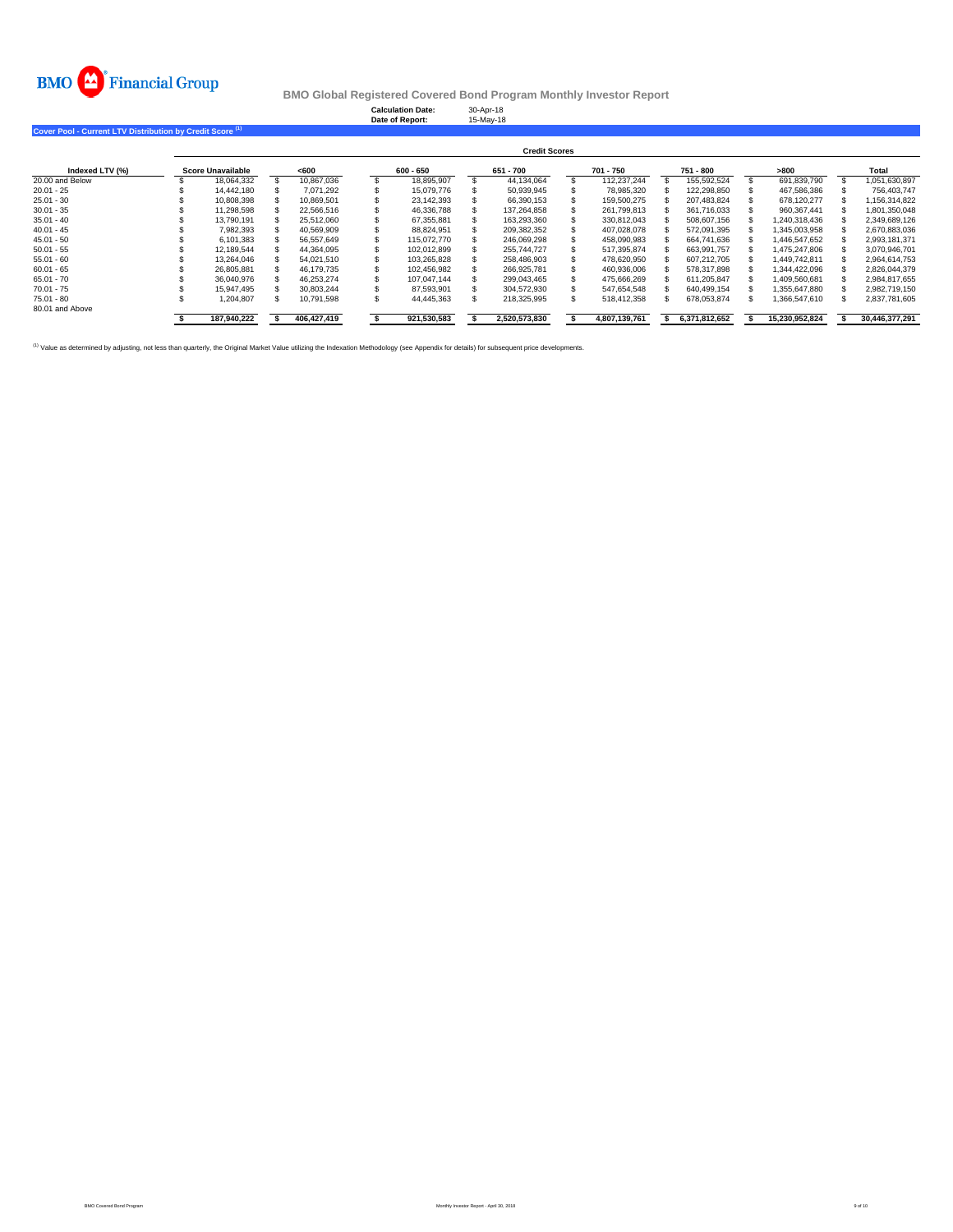

**Calculation Date:** 30-Apr-18 **Date of Report:** 15-May-18

**Cover Pool - Current LTV Distribution by Credit Score (1)**

|                 |                          |  |             |  |             |  | <b>Credit Scores</b> |  |               |  |               |      |                |       |                |
|-----------------|--------------------------|--|-------------|--|-------------|--|----------------------|--|---------------|--|---------------|------|----------------|-------|----------------|
| Indexed LTV (%) | <b>Score Unavailable</b> |  | <600        |  | $600 - 650$ |  | 651 - 700            |  | 701 - 750     |  | 751 - 800     | >800 |                | Total |                |
| 20.00 and Below | 18.064.332               |  | 10.867.036  |  | 18.895.907  |  | 44.134.064           |  | 112.237.244   |  | 155.592.524   |      | 691.839.790    |       | 1.051.630.897  |
| $20.01 - 25$    | 14.442.180               |  | 7.071.292   |  | 15.079.776  |  | 50.939.945           |  | 78.985.320    |  | 122.298.850   |      | 467.586.386    |       | 756.403.747    |
| $25.01 - 30$    | 10,808,398               |  | 10.869.501  |  | 23.142.393  |  | 66.390.153           |  | 159.500.275   |  | 207.483.824   |      | 678.120.277    |       | 1,156,314,822  |
| $30.01 - 35$    | 11.298.598               |  | 22.566.516  |  | 46.336.788  |  | 137.264.858          |  | 261.799.813   |  | 361.716.033   |      | 960.367.441    |       | 1.801.350.048  |
| $35.01 - 40$    | 13.790.191               |  | 25.512.060  |  | 67.355.881  |  | 163.293.360          |  | 330.812.043   |  | 508.607.156   |      | 1.240.318.436  |       | 2,349,689,126  |
| $40.01 - 45$    | 7.982.393                |  | 40.569.909  |  | 88.824.951  |  | 209.382.352          |  | 407.028.078   |  | 572,091,395   |      | 1.345.003.958  |       | 2.670.883.036  |
| $45.01 - 50$    | 6.101.383                |  | 56.557.649  |  | 115.072.770 |  | 246.069.298          |  | 458.090.983   |  | 664.741.636   |      | 1.446.547.652  |       | 2.993.181.371  |
| $50.01 - 55$    | 12.189.544               |  | 44.364.095  |  | 102.012.899 |  | 255.744.727          |  | 517,395,874   |  | 663.991.757   |      | 1.475.247.806  |       | 3,070,946,701  |
| $55.01 - 60$    | 13.264.046               |  | 54.021.510  |  | 103.265.828 |  | 258.486.903          |  | 478.620.950   |  | 607.212.705   |      | 1.449.742.811  |       | 2,964,614,753  |
| $60.01 - 65$    | 26.805.881               |  | 46.179.735  |  | 102.456.982 |  | 266.925.781          |  | 460.936.006   |  | 578.317.898   |      | 1.344.422.096  |       | 2.826.044.379  |
| $65.01 - 70$    | 36.040.976               |  | 46.253.274  |  | 107.047.144 |  | 299.043.465          |  | 475.666.269   |  | 611.205.847   |      | 1.409.560.681  |       | 2.984.817.655  |
| $70.01 - 75$    | 15.947.495               |  | 30.803.244  |  | 87.593.901  |  | 304.572.930          |  | 547.654.548   |  | 640.499.154   |      | 1.355.647.880  |       | 2.982.719.150  |
| $75.01 - 80$    | 1.204.807                |  | 10.791.598  |  | 44.445.363  |  | 218.325.995          |  | 518.412.358   |  | 678,053,874   |      | 1,366,547,610  |       | 2,837,781,605  |
| 80.01 and Above |                          |  |             |  |             |  |                      |  |               |  |               |      |                |       |                |
|                 | 187,940,222              |  | 406,427,419 |  | 921,530,583 |  | 2,520,573,830        |  | 4,807,139,761 |  | 6,371,812,652 |      | 15,230,952,824 |       | 30,446,377,291 |

<sup>(1)</sup> Value as determined by adjusting, not less than quarterly, the Original Market Value utilizing the Indexation Methodology (see Appendix for details) for subsequent price developments.